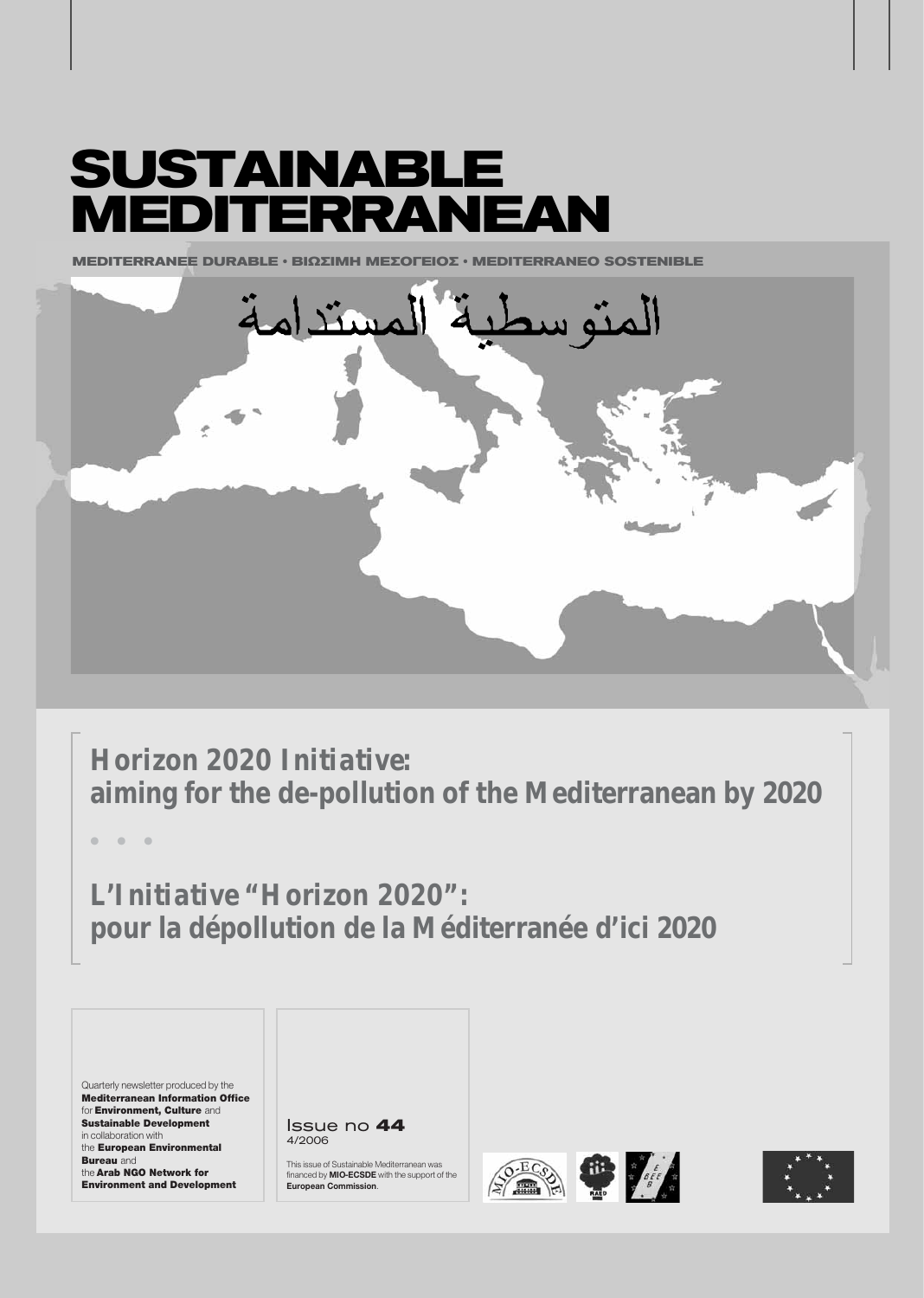# **SUSTAINABLE MEDITERRANEAN**

**MEDITERRANEE DURABLE § ΒΙΟΣΙΜΗ ΜΕΣΩΓΕΙΩΣ • ΜΕDITERRANEO SOSTENIBLE** 



*Horizon 2020 Initiative:* **aiming for the de-pollution of the Mediterranean by 2020**

**ñ ñ ñ**

*L'Initiative "Horizon 2020":* **pour la dépollution de la Méditerranée d'ici 2020**

Quarterly newsletter produced by the Mediterranean Information Office for Environment, Culture and Sustainable Development in collaboration with the European Environmental **Bureau** and the Arab NGO Network for Environment and Development

Issue no **44** 4/2006

This issue of Sustainable Mediterranean was financed by **MIO-ECSDE** with the support of the **European Commission**.





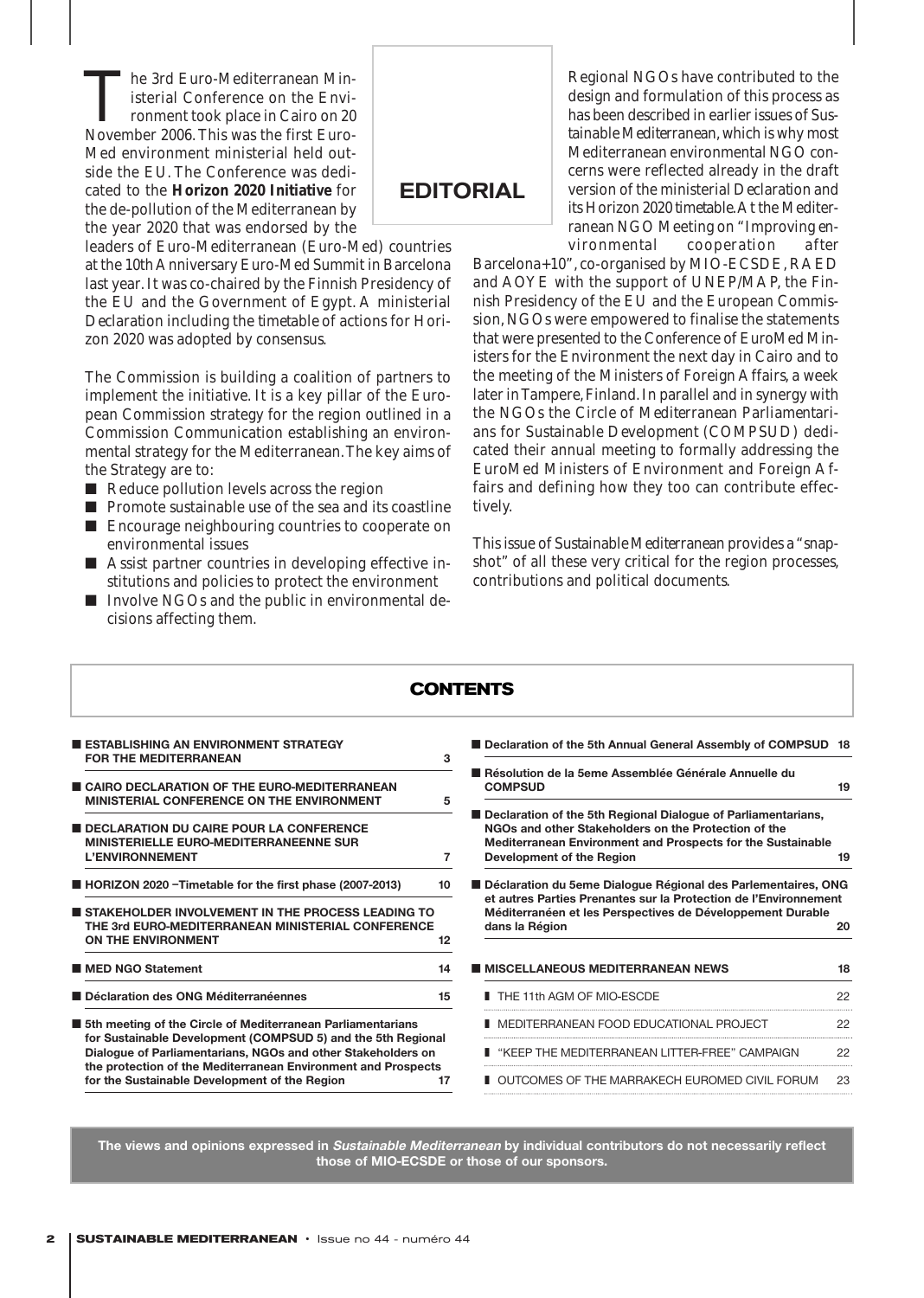The 3rd Euro-Mediterranean Ministerial Conference on the Environment took place in Cairo on 20<br>November 2006 This was the first Euroisterial Conference on the Environment took place in Cairo on 20 November 2006. This was the first Euro-Med environment ministerial held outside the EU. The Conference was dedicated to the **Horizon 2020 Initiative** for the de-pollution of the Mediterranean by the year 2020 that was endorsed by the

leaders of Euro-Mediterranean (Euro-Med) countries at the 10th Anniversary Euro-Med Summit in Barcelona last year. It was co-chaired by the Finnish Presidency of the EU and the Government of Egypt. A ministerial *Declaration* including the *timetable* of actions for Horizon 2020 was adopted by consensus.

The Commission is building a coalition of partners to implement the initiative. It is a key pillar of the European Commission strategy for the region outlined in a Commission Communication establishing an environmental strategy for the Mediterranean.The key aims of the Strategy are to:

- Reduce pollution levels across the region
- Promote sustainable use of the sea and its coastline ■ Encourage neighbouring countries to cooperate on
- environmental issues ■ Assist partner countries in developing effective institutions and policies to protect the environment
- Involve NGOs and the public in environmental decisions affecting them.

Regional NGOs have contributed to the design and formulation of this process as has been described in earlier issues of *Sustainable Mediterranean*, which is why most Mediterranean environmental NGO concerns were reflected already in the draft version of the ministerial *Declaration* and its Horizon 2020 *timetable*.At the Mediterranean NGO Meeting on *"Improving environmental cooperation after*

*Barcelona+10"*, co-organised by MIO-ECSDE, RAED and AOYE with the support of UNEP/MAP, the Finnish Presidency of the EU and the European Commission, NGOs were empowered to finalise the statements that were presented to the Conference of EuroMed Ministers for the Environment the next day in Cairo and to the meeting of the Ministers of Foreign Affairs, a week later in Tampere, Finland. In parallel and in synergy with the NGOs the *Circle of Mediterranean Parliamentarians for Sustainable Development (COMPSUD)* dedicated their annual meeting to formally addressing the EuroMed Ministers of Environment and Foreign Affairs and defining how they too can contribute effectively.

This issue of *Sustainable Mediterranean* provides a "snapshot" of all these very critical for the region processes, contributions and political documents.

|                                                                                                                                                                                                        | <b>CONTENTS</b>                                                                                                                       |  |
|--------------------------------------------------------------------------------------------------------------------------------------------------------------------------------------------------------|---------------------------------------------------------------------------------------------------------------------------------------|--|
| <b>ESTABLISHING AN ENVIRONMENT STRATEGY</b><br><b>FOR THE MEDITERRANEAN</b>                                                                                                                            | Declaration of the 5th A<br>3                                                                                                         |  |
| CAIRO DECLARATION OF THE EURO-MEDITERRANEAN<br>MINISTERIAL CONFERENCE ON THE ENVIRONMENT                                                                                                               | Résolution de la 5eme A<br><b>COMPSUD</b><br>5                                                                                        |  |
| <b>DECLARATION DU CAIRE POUR LA CONFERENCE</b><br>MINISTERIELLE EURO-MEDITERRANEENNE SUR<br><b>L'ENVIRONNEMENT</b>                                                                                     | Declaration of the 5th R<br><b>NGOs and other Stakeh</b><br><b>Mediterranean Environn</b><br>$\overline{7}$<br>Development of the Rec |  |
| ■ HORIZON 2020 - Timetable for the first phase (2007-2013)<br>10<br>STAKEHOLDER INVOLVEMENT IN THE PROCESS LEADING TO<br>THE 3rd EURO-MEDITERRANEAN MINISTERIAL CONFERENCE<br>ON THE ENVIRONMENT<br>12 | Déclaration du 5eme Dia<br>et autres Parties Prenar<br>Méditerranéen et les Pe<br>dans la Région                                      |  |
| <b>MED NGO Statement</b><br>14                                                                                                                                                                         | <b>MISCELLANEOUS MED</b>                                                                                                              |  |
| Déclaration des ONG Méditerranéennes<br>15                                                                                                                                                             | THE 11th AGM OF MIO                                                                                                                   |  |
| <b>5th meeting of the Circle of Mediterranean Parliamentarians</b><br>for Sustainable Development (COMPSUD 5) and the 5th Regional<br>Dialogue of Parliamentarians, NGOs and other Stakeholders on     | <b>I</b> MEDITERRANEAN FOG<br>■ "KEEP THE MEDITERF                                                                                    |  |
| the protection of the Mediterranean Environment and Prospects<br>for the Sustainable Development of the Region<br>17                                                                                   | OUTCOMES OF THE M                                                                                                                     |  |

- **nnual General Assembly of COMPSUD 18**
- **Assemblée Générale Annuelle du COMPSUD** 19 **egional Dialogue of Parliamentarians,** olders on the Protection of the **nent and Prospects for the Sustainable Development of the Region 19** ■ **Déclaration du 5eme Dialogue Régional des Parlementaires, ONG et autres Parties Prenantes sur la Protection de l'Environnement Merspectives de Développement Durable dans la Région 20 ITERRANEAN NEWS 18** ■ THE 11th AGM OF MIO-ESCDE 22 OD EDUCATIONAL PROJECT 22 RANFAN LITTER-FREE" CAMPAIGN 22 AARRAKECH EUROMED CIVIL FORUM 23

**The views and opinions expressed in Sustainable Mediterranean by individual contributors do not necessarily reflect those of MIO-ECSDE or those of our sponsors.**

**EDITORIAL**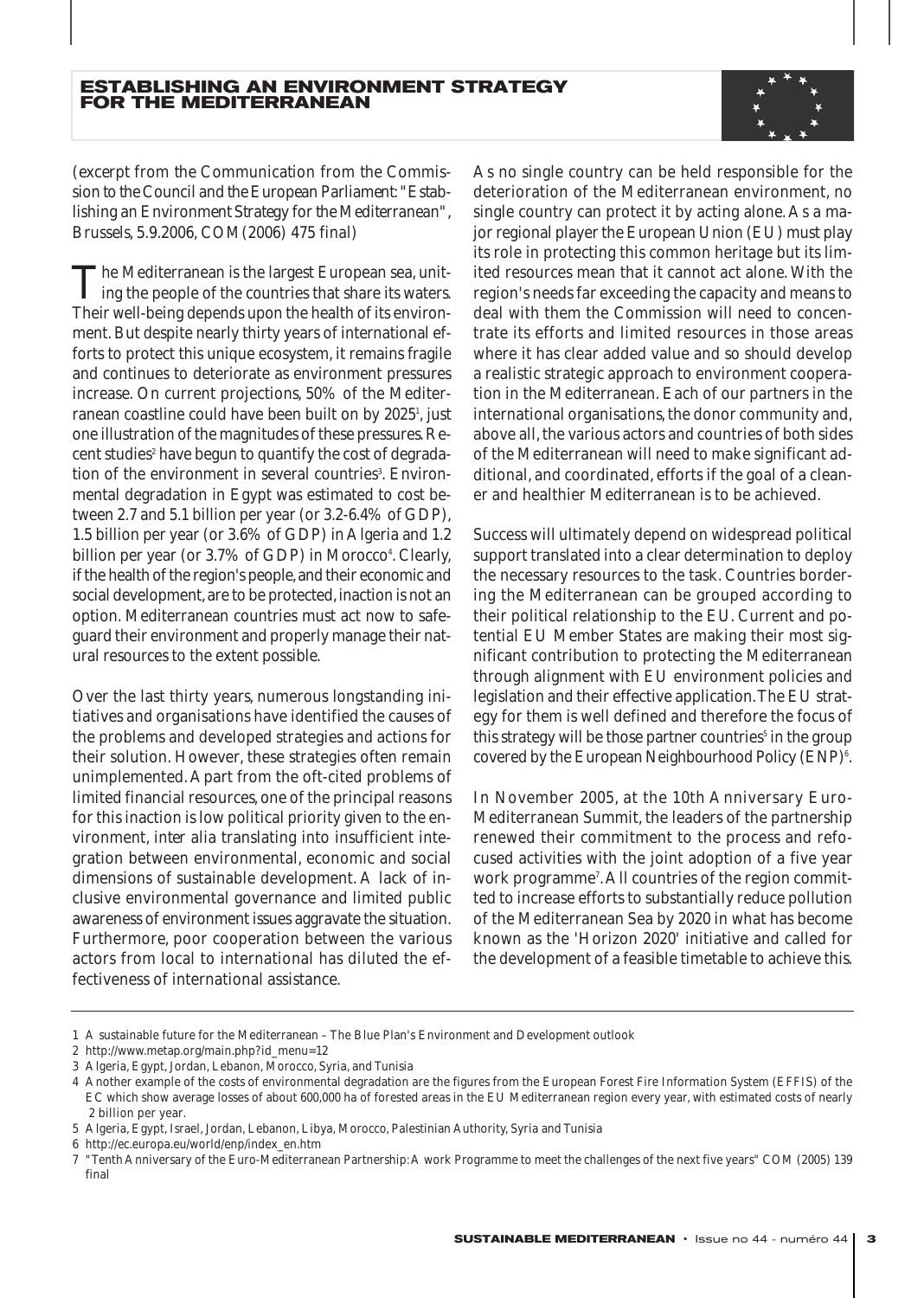

*(excerpt from the Communication from the Commission to the Council and the European Parliament: "Establishing an Environment Strategy for the Mediterranean", Brussels, 5.9.2006, COM(2006) 475 final)*

The Mediterranean is the largest European sea, uniting the people of the countries that share its waters. Their well-being depends upon the health of its environment. But despite nearly thirty years of international efforts to protect this unique ecosystem, it remains fragile and continues to deteriorate as environment pressures increase. On current projections, 50% of the Mediterranean coastline could have been built on by 2025<sup>1</sup>, just one illustration of the magnitudes of these pressures.Recent studies<sup>2</sup> have begun to quantify the cost of degradation of the environment in several countries<sup>3</sup>. Environmental degradation in Egypt was estimated to cost between 2.7 and 5.1 billion per year (or 3.2-6.4% of GDP), 1.5 billion per year (or 3.6% of GDP) in Algeria and 1.2 billion per year (or 3.7% of GDP) in Morocco<sup>4</sup>. Clearly, if the health of the region's people,and their economic and social development, are to be protected, inaction is not an option. Mediterranean countries must act now to safeguard their environment and properly manage their natural resources to the extent possible.

Over the last thirty years, numerous longstanding initiatives and organisations have identified the causes of the problems and developed strategies and actions for their solution. However, these strategies often remain unimplemented. Apart from the oft-cited problems of limited financial resources, one of the principal reasons for this inaction is low political priority given to the environment, *inter alia* translating into insufficient integration between environmental, economic and social dimensions of sustainable development. A lack of inclusive environmental governance and limited public awareness of environment issues aggravate the situation. Furthermore, poor cooperation between the various actors from local to international has diluted the effectiveness of international assistance.

As no single country can be held responsible for the deterioration of the Mediterranean environment, no single country can protect it by acting alone. As a major regional player the European Union (EU) must play its role in protecting this common heritage but its limited resources mean that it cannot act alone. With the region's needs far exceeding the capacity and means to deal with them the Commission will need to concentrate its efforts and limited resources in those areas where it has clear added value and so should develop a realistic strategic approach to environment cooperation in the Mediterranean. Each of our partners in the international organisations, the donor community and, above all, the various actors and countries of both sides of the Mediterranean will need to make significant additional, and coordinated, efforts if the goal of a cleaner and healthier Mediterranean is to be achieved.

Success will ultimately depend on widespread political support translated into a clear determination to deploy the necessary resources to the task. Countries bordering the Mediterranean can be grouped according to their political relationship to the EU. Current and potential EU Member States are making their most significant contribution to protecting the Mediterranean through alignment with EU environment policies and legislation and their effective application.The EU strategy for them is well defined and therefore the focus of this strategy will be those partner countries<sup>5</sup> in the group covered by the European Neighbourhood Policy (ENP)<sup>6</sup>.

In November 2005, at the 10th Anniversary Euro-Mediterranean Summit, the leaders of the partnership renewed their commitment to the process and refocused activities with the joint adoption of a five year work programme7 .All countries of the region committed to increase efforts to substantially reduce pollution of the Mediterranean Sea by 2020 in what has become known as the 'Horizon 2020' initiative and called for the development of a feasible timetable to achieve this.

<sup>1</sup> A sustainable future for the Mediterranean – The Blue Plan's Environment and Development outlook

<sup>2</sup> http://www.metap.org/main.php?id\_menu=12

<sup>3</sup> Algeria, Egypt, Jordan, Lebanon, Morocco, Syria, and Tunisia

<sup>4</sup> Another example of the costs of environmental degradation are the figures from the European Forest Fire Information System (EFFIS) of the EC which show average losses of about 600,000 ha of forested areas in the EU Mediterranean region every year, with estimated costs of nearly 2 billion per year.

<sup>5</sup> Algeria, Egypt, Israel, Jordan, Lebanon, Libya, Morocco, Palestinian Authority, Syria and Tunisia

<sup>6</sup> http://ec.europa.eu/world/enp/index\_en.htm

<sup>7 &</sup>quot;Tenth Anniversary of the Euro-Mediterranean Partnership:A work Programme to meet the challenges of the next five years" COM (2005) 139 final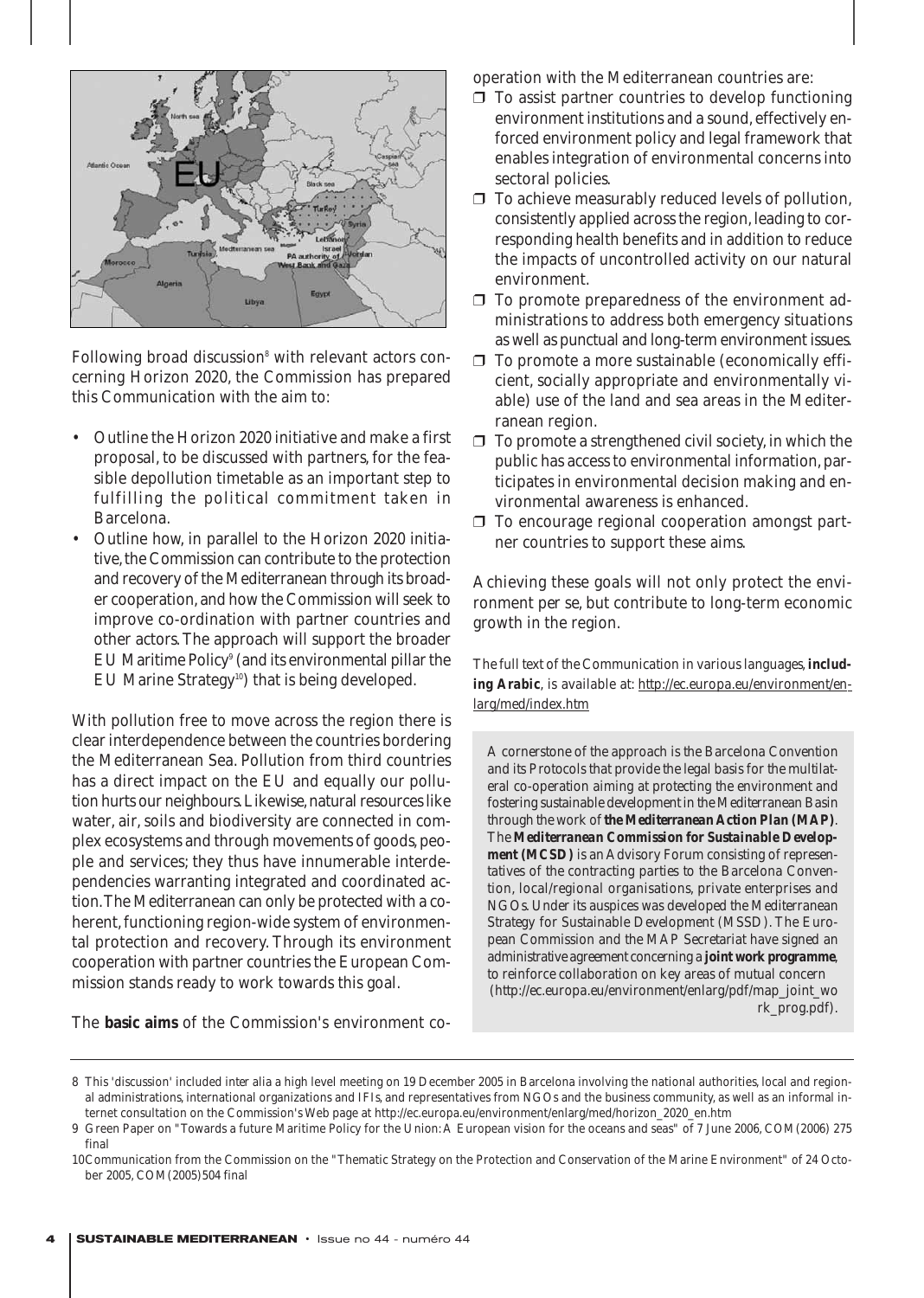

Following broad discussion<sup>8</sup> with relevant actors concerning Horizon 2020, the Commission has prepared this Communication with the aim to:

- Outline the Horizon 2020 initiative and make a first proposal, to be discussed with partners, for the feasible depollution timetable as an important step to fulfilling the political commitment taken in Barcelona.
- Outline how, in parallel to the Horizon 2020 initiative, the Commission can contribute to the protection and recovery of the Mediterranean through its broader cooperation,and how the Commission will seek to improve co-ordination with partner countries and other actors. The approach will support the broader EU Maritime Policy<sup>9</sup> (and its environmental pillar the EU Marine Strategy<sup>10</sup>) that is being developed.

With pollution free to move across the region there is clear interdependence between the countries bordering the Mediterranean Sea. Pollution from third countries has a direct impact on the EU and equally our pollution hurts our neighbours. Likewise, natural resources like water, air, soils and biodiversity are connected in complex ecosystems and through movements of goods, people and services; they thus have innumerable interdependencies warranting integrated and coordinated action.The Mediterranean can only be protected with a coherent, functioning region-wide system of environmental protection and recovery. Through its environment cooperation with partner countries the European Commission stands ready to work towards this goal.

The **basic aims** of the Commission's environment co-

operation with the Mediterranean countries are:

- $\Box$  To assist partner countries to develop functioning environment institutions and a sound, effectively enforced environment policy and legal framework that enables integration of environmental concerns into sectoral policies.
- ❒ To achieve measurably reduced levels of pollution, consistently applied across the region, leading to corresponding health benefits and in addition to reduce the impacts of uncontrolled activity on our natural environment.
- ❒ To promote preparedness of the environment administrations to address both emergency situations as well as punctual and long-term environment issues.
- ❒ To promote a more sustainable (economically efficient, socially appropriate and environmentally viable) use of the land and sea areas in the Mediterranean region.
- $\Box$  To promote a strengthened civil society, in which the public has access to environmental information, participates in environmental decision making and environmental awareness is enhanced.
- ❒ To encourage regional cooperation amongst partner countries to support these aims.

Achieving these goals will not only protect the environment *per se*, but contribute to long-term economic growth in the region.

*The full text of the Communication in various languages,including Arabic, is available at: http://ec.europa.eu/environment/enlarg/med/index.htm*

*A cornerstone of the approach is the Barcelona Convention and its Protocols that provide the legal basis for the multilateral co-operation aiming at protecting the environment and fostering sustainable development in the Mediterranean Basin through the work of the Mediterranean Action Plan (MAP). The Mediterranean Commission for Sustainable Development (MCSD) is an Advisory Forum consisting of representatives of the contracting parties to the Barcelona Convention, local/regional organisations, private enterprises and NGOs. Under its auspices was developed the Mediterranean Strategy for Sustainable Development (MSSD). The European Commission and the MAP Secretariat have signed an administrative agreement concerning a joint work programme, to reinforce collaboration on key areas of mutual concern (http://ec.europa.eu/environment/enlarg/pdf/map\_joint\_wo rk\_prog.pdf).*

<sup>8</sup> This 'discussion' included *inter alia* a high level meeting on 19 December 2005 in Barcelona involving the national authorities, local and regional administrations, international organizations and IFIs, and representatives from NGOs and the business community, as well as an informal internet consultation on the Commission's Web page at http://ec.europa.eu/environment/enlarg/med/horizon\_2020\_en.htm

<sup>9</sup> Green Paper on "Towards a future Maritime Policy for the Union: A European vision for the oceans and seas" of 7 June 2006, COM(2006) 275 final

<sup>10</sup>Communication from the Commission on the "Thematic Strategy on the Protection and Conservation of the Marine Environment" of 24 October 2005, COM(2005)504 final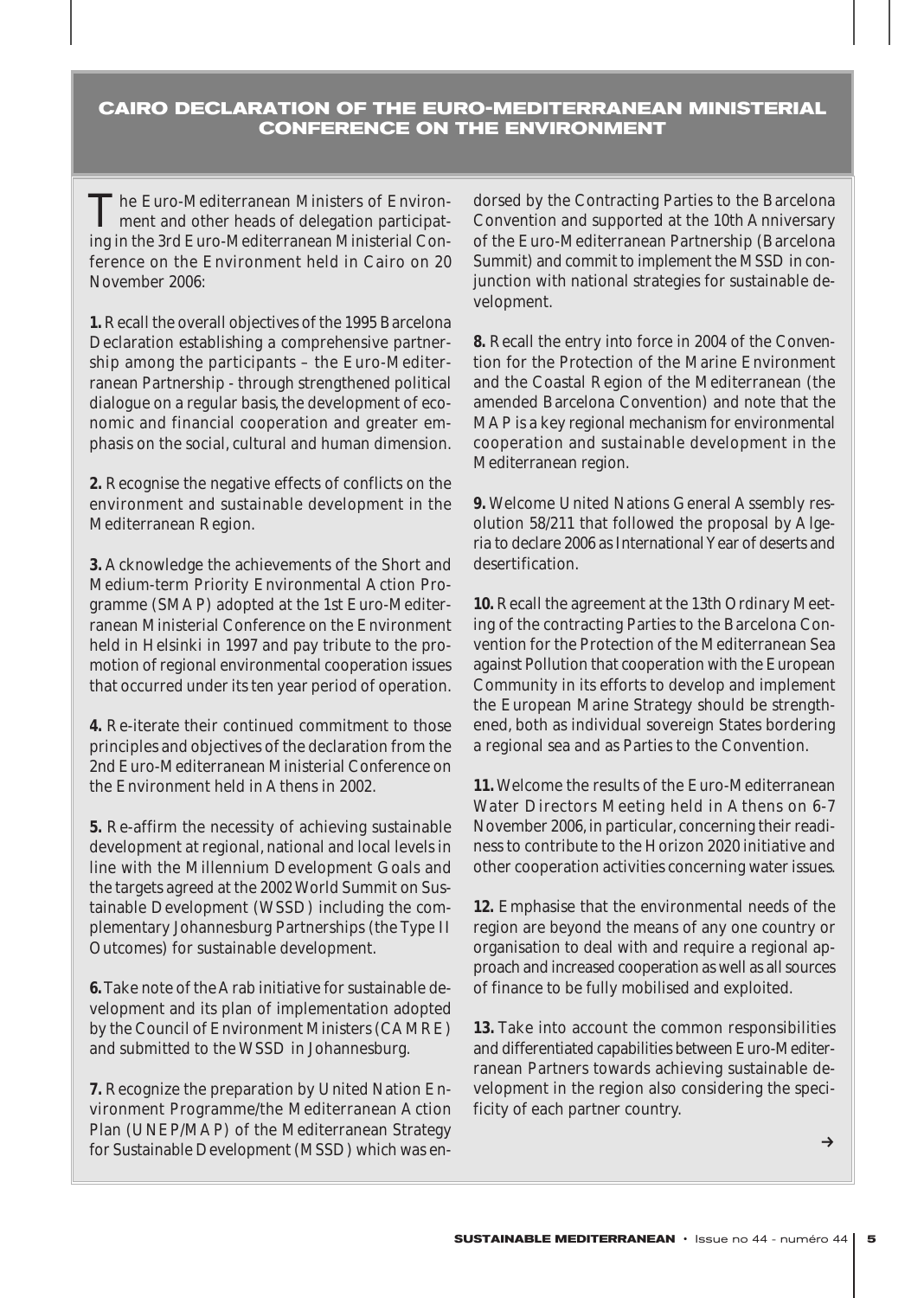# **CAIRO DECLARATION OF THE EURO-MEDITERRANEAN MINISTERIAL CONFERENCE ON THE ENVIRONMENT**

The Euro-Mediterranean Ministers of Environ-ment and other heads of delegation participating in the 3rd Euro-Mediterranean Ministerial Conference on the Environment held in Cairo on 20 November 2006:

**1.** Recall the overall objectives of the 1995 Barcelona Declaration establishing a comprehensive partnership among the participants – the Euro-Mediterranean Partnership - through strengthened political dialogue on a regular basis, the development of economic and financial cooperation and greater emphasis on the social, cultural and human dimension.

**2.** Recognise the negative effects of conflicts on the environment and sustainable development in the Mediterranean Region.

**3.** Acknowledge the achievements of the Short and Medium-term Priority Environmental Action Programme (SMAP) adopted at the 1st Euro-Mediterranean Ministerial Conference on the Environment held in Helsinki in 1997 and pay tribute to the promotion of regional environmental cooperation issues that occurred under its ten year period of operation.

**4.** Re-iterate their continued commitment to those principles and objectives of the declaration from the 2nd Euro-Mediterranean Ministerial Conference on the Environment held in Athens in 2002.

**5.** Re-affirm the necessity of achieving sustainable development at regional, national and local levels in line with the Millennium Development Goals and the targets agreed at the 2002 World Summit on Sustainable Development (WSSD) including the complementary Johannesburg Partnerships (the Type II Outcomes) for sustainable development.

**6.**Take note of the Arab initiative for sustainable development and its plan of implementation adopted by the Council of Environment Ministers (CAMRE) and submitted to the WSSD in Johannesburg.

**7.** Recognize the preparation by United Nation Environment Programme/the Mediterranean Action Plan (UNEP/MAP) of the Mediterranean Strategy for Sustainable Development (MSSD) which was en-

dorsed by the Contracting Parties to the Barcelona Convention and supported at the 10th Anniversary of the Euro-Mediterranean Partnership (Barcelona Summit) and commit to implement the MSSD in conjunction with national strategies for sustainable development.

**8.** Recall the entry into force in 2004 of the Convention for the Protection of the Marine Environment and the Coastal Region of the Mediterranean (the amended Barcelona Convention) and note that the MAP is a key regional mechanism for environmental cooperation and sustainable development in the Mediterranean region.

**9.** Welcome United Nations General Assembly resolution 58/211 that followed the proposal by Algeria to declare 2006 as International Year of deserts and desertification.

**10.** Recall the agreement at the 13th Ordinary Meeting of the contracting Parties to the Barcelona Convention for the Protection of the Mediterranean Sea against Pollution that cooperation with the European Community in its efforts to develop and implement the European Marine Strategy should be strengthened, both as individual sovereign States bordering a regional sea and as Parties to the Convention.

**11.** Welcome the results of the Euro-Mediterranean Water Directors Meeting held in Athens on 6-7 November 2006, in particular, concerning their readiness to contribute to the Horizon 2020 initiative and other cooperation activities concerning water issues.

**12.** Emphasise that the environmental needs of the region are beyond the means of any one country or organisation to deal with and require a regional approach and increased cooperation as well as all sources of finance to be fully mobilised and exploited.

**13.** Take into account the common responsibilities and differentiated capabilities between Euro-Mediterranean Partners towards achieving sustainable development in the region also considering the specificity of each partner country.

 $\rightarrow$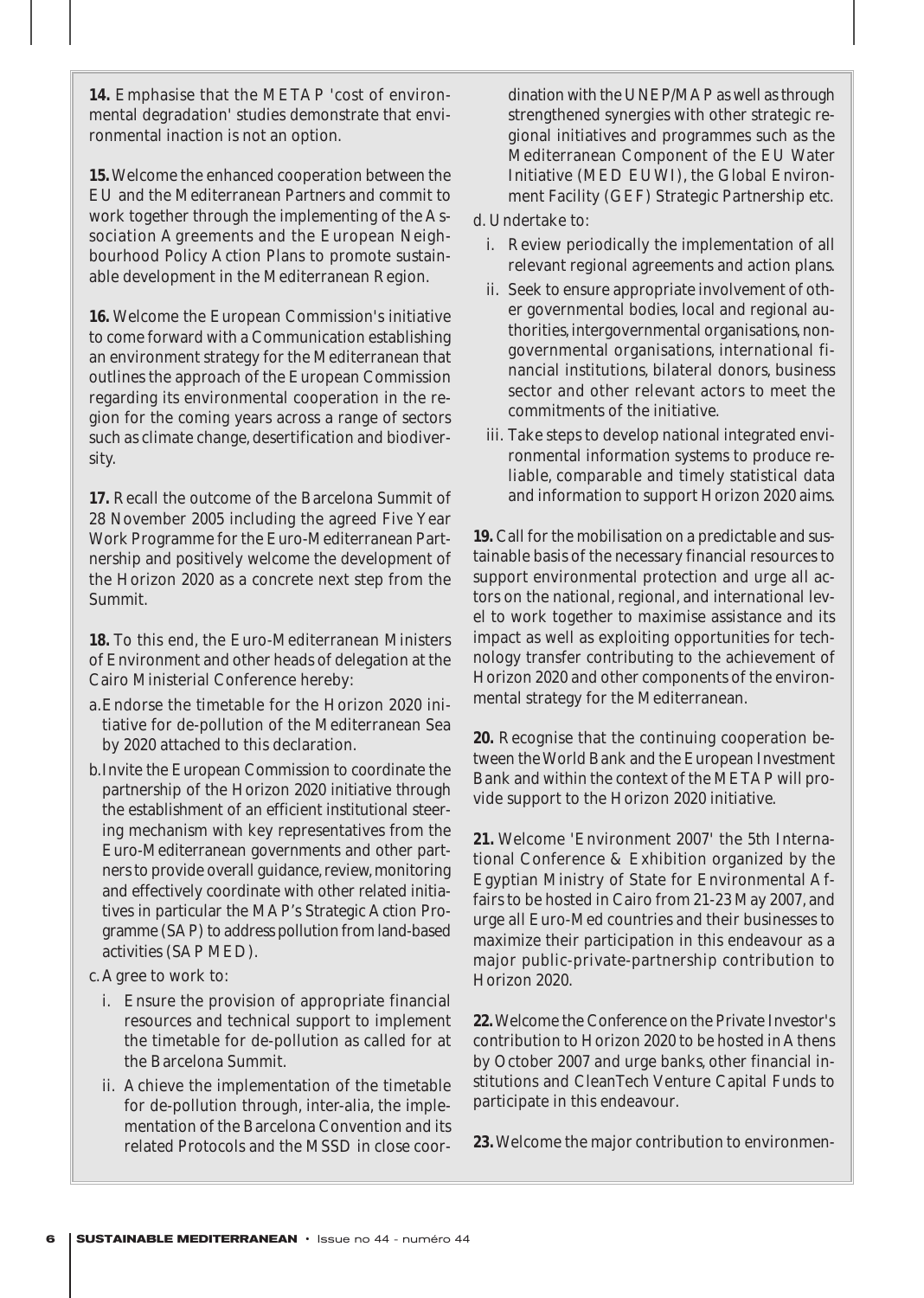**14.** Emphasise that the METAP 'cost of environmental degradation' studies demonstrate that environmental inaction is not an option.

**15.**Welcome the enhanced cooperation between the EU and the Mediterranean Partners and commit to work together through the implementing of the Association Agreements and the European Neighbourhood Policy Action Plans to promote sustainable development in the Mediterranean Region.

**16.** Welcome the European Commission's initiative to come forward with a Communication establishing an environment strategy for the Mediterranean that outlines the approach of the European Commission regarding its environmental cooperation in the region for the coming years across a range of sectors such as climate change, desertification and biodiversity.

**17.** Recall the outcome of the Barcelona Summit of 28 November 2005 including the agreed Five Year Work Programme for the Euro-Mediterranean Partnership and positively welcome the development of the Horizon 2020 as a concrete next step from the Summit.

**18.** To this end, the Euro-Mediterranean Ministers of Environment and other heads of delegation at the Cairo Ministerial Conference hereby:

- a.Endorse the timetable for the Horizon 2020 initiative for de-pollution of the Mediterranean Sea by 2020 attached to this declaration.
- b.Invite the European Commission to coordinate the partnership of the Horizon 2020 initiative through the establishment of an efficient institutional steering mechanism with key representatives from the Euro-Mediterranean governments and other partners to provide overall guidance, review, monitoring and effectively coordinate with other related initiatives in particular the MAP's Strategic Action Programme (SAP) to address pollution from land-based activities (SAP MED).

c. Agree to work to:

- i. Ensure the provision of appropriate financial resources and technical support to implement the timetable for de-pollution as called for at the Barcelona Summit.
- ii. Achieve the implementation of the timetable for de-pollution through, inter-alia, the implementation of the Barcelona Convention and its related Protocols and the MSSD in close coor-

dination with the UNEP/MAP as well as through strengthened synergies with other strategic regional initiatives and programmes such as the Mediterranean Component of the EU Water Initiative (MED EUWI), the Global Environment Facility (GEF) Strategic Partnership etc.

d. Undertake to:

- i. Review periodically the implementation of all relevant regional agreements and action plans.
- ii. Seek to ensure appropriate involvement of other governmental bodies, local and regional authorities, intergovernmental organisations, nongovernmental organisations, international financial institutions, bilateral donors, business sector and other relevant actors to meet the commitments of the initiative.
- iii. Take steps to develop national integrated environmental information systems to produce reliable, comparable and timely statistical data and information to support Horizon 2020 aims.

**19.** Call for the mobilisation on a predictable and sustainable basis of the necessary financial resources to support environmental protection and urge all actors on the national, regional, and international level to work together to maximise assistance and its impact as well as exploiting opportunities for technology transfer contributing to the achievement of Horizon 2020 and other components of the environmental strategy for the Mediterranean.

**20.** Recognise that the continuing cooperation between the World Bank and the European Investment Bank and within the context of the METAP will provide support to the Horizon 2020 initiative.

**21.** Welcome 'Environment 2007' the 5th International Conference & Exhibition organized by the Egyptian Ministry of State for Environmental Affairs to be hosted in Cairo from 21-23 May 2007, and urge all Euro-Med countries and their businesses to maximize their participation in this endeavour as a major public-private-partnership contribution to Horizon 2020.

**22.**Welcome the Conference on the Private Investor's contribution to Horizon 2020 to be hosted in Athens by October 2007 and urge banks, other financial institutions and CleanTech Venture Capital Funds to participate in this endeavour.

**23.**Welcome the major contribution to environmen-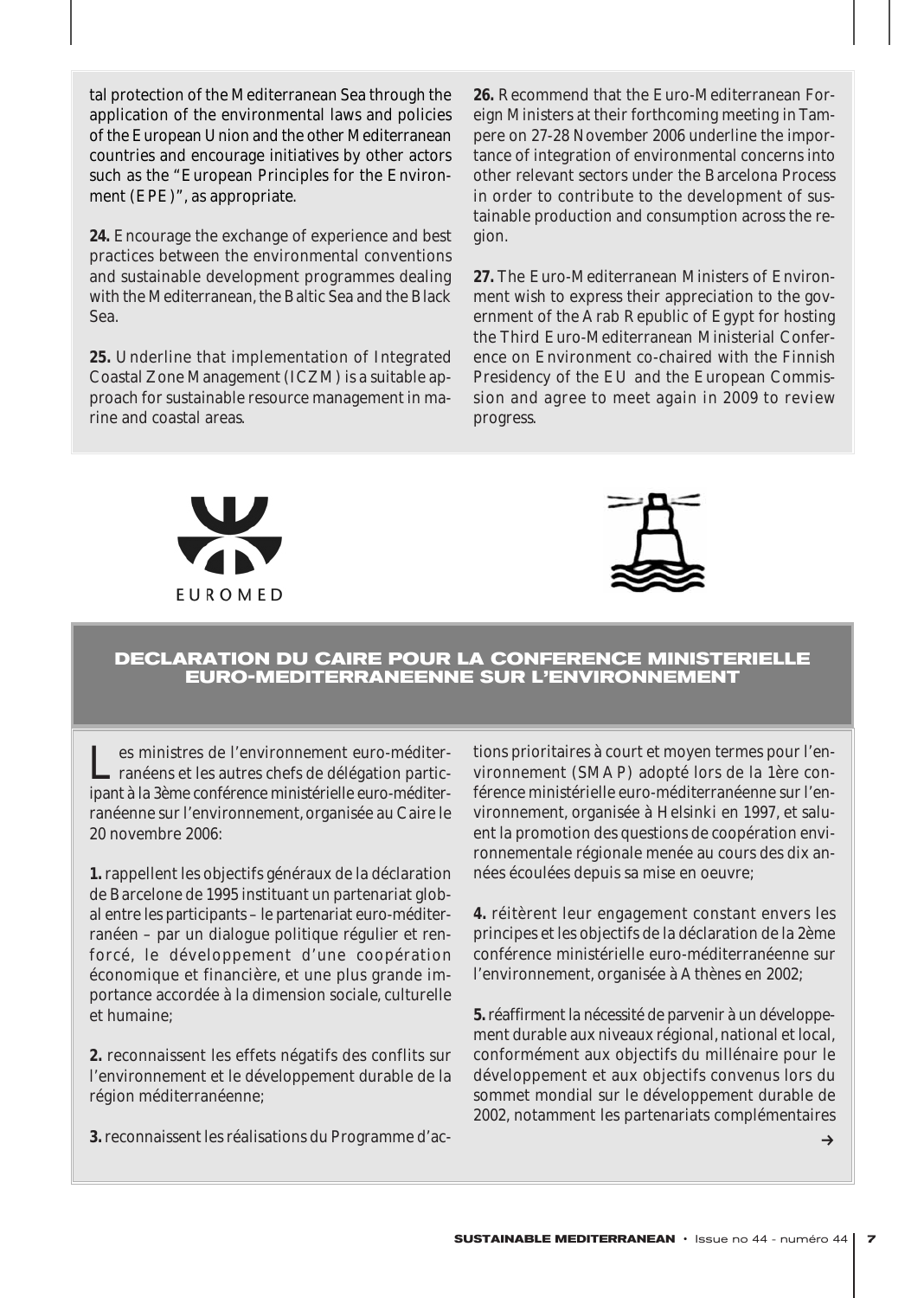tal protection of the Mediterranean Sea through the application of the environmental laws and policies of the European Union and the other Mediterranean countries and encourage initiatives by other actors such as the "European Principles for the Environment (EPE)", as appropriate.

**24.** Encourage the exchange of experience and best practices between the environmental conventions and sustainable development programmes dealing with the Mediterranean, the Baltic Sea and the Black Sea.

**25.** Underline that implementation of Integrated Coastal Zone Management (ICZM) is a suitable approach for sustainable resource management in marine and coastal areas.

**26.** Recommend that the Euro-Mediterranean Foreign Ministers at their forthcoming meeting in Tampere on 27-28 November 2006 underline the importance of integration of environmental concerns into other relevant sectors under the Barcelona Process in order to contribute to the development of sustainable production and consumption across the region.

**27.** The Euro-Mediterranean Ministers of Environment wish to express their appreciation to the government of the Arab Republic of Egypt for hosting the Third Euro-Mediterranean Ministerial Conference on Environment co-chaired with the Finnish Presidency of the EU and the European Commission and agree to meet again in 2009 to review progress.





# **DECLARATION DU CAIRE POUR LA CONFERENCE MINISTERIELLE EURO-MEDITERRANEENNE SUR L'ENVIRONNEMENT**

es ministres de l'environnement euro-méditerranéens et les autres chefs de délégation participant à la 3ème conférence ministérielle euro-méditerranéenne sur l'environnement, organisée au Caire le 20 novembre 2006:

**1.** rappellent les objectifs généraux de la déclaration de Barcelone de 1995 instituant un partenariat global entre les participants – le partenariat euro-méditerranéen – par un dialogue politique régulier et renforcé, le développement d'une coopération économique et financière, et une plus grande importance accordée à la dimension sociale, culturelle et humaine;

**2.** reconnaissent les effets négatifs des conflits sur l'environnement et le développement durable de la région méditerranéenne;

**3.** reconnaissent les réalisations du Programme d'ac-

tions prioritaires à court et moyen termes pour l'environnement (SMAP) adopté lors de la 1ère conférence ministérielle euro-méditerranéenne sur l'environnement, organisée à Helsinki en 1997, et saluent la promotion des questions de coopération environnementale régionale menée au cours des dix années écoulées depuis sa mise en oeuvre;

**4.** réitèrent leur engagement constant envers les principes et les objectifs de la déclaration de la 2ème conférence ministérielle euro-méditerranéenne sur l'environnement, organisée à Athènes en 2002;

**5.**réaffirment la nécessité de parvenir à un développement durable aux niveaux régional, national et local, conformément aux objectifs du millénaire pour le développement et aux objectifs convenus lors du sommet mondial sur le développement durable de 2002, notamment les partenariats complémentaires

 $\rightarrow$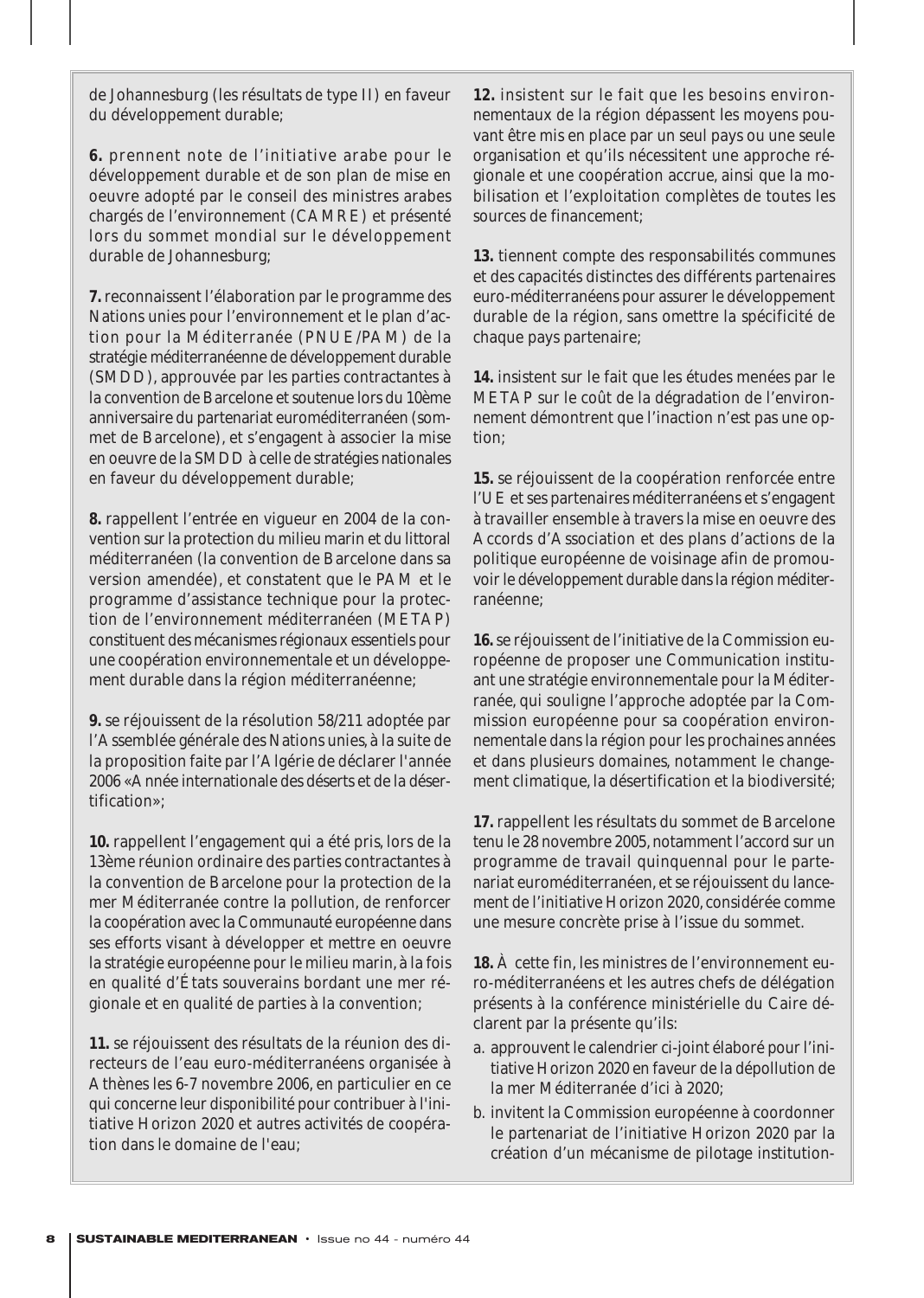de Johannesburg (les résultats de type II) en faveur du développement durable;

**6.** prennent note de l'initiative arabe pour le développement durable et de son plan de mise en oeuvre adopté par le conseil des ministres arabes chargés de l'environnement (CAMRE) et présenté lors du sommet mondial sur le développement durable de Johannesburg;

**7.** reconnaissent l'élaboration par le programme des Nations unies pour l'environnement et le plan d'action pour la Méditerranée (PNUE/PAM) de la stratégie méditerranéenne de développement durable (SMDD), approuvée par les parties contractantes à la convention de Barcelone et soutenue lors du 10ème anniversaire du partenariat euroméditerranéen (sommet de Barcelone), et s'engagent à associer la mise en oeuvre de la SMDD à celle de stratégies nationales en faveur du développement durable;

**8.** rappellent l'entrée en vigueur en 2004 de la convention sur la protection du milieu marin et du littoral méditerranéen (la convention de Barcelone dans sa version amendée), et constatent que le PAM et le programme d'assistance technique pour la protection de l'environnement méditerranéen (METAP) constituent des mécanismes régionaux essentiels pour une coopération environnementale et un développement durable dans la région méditerranéenne;

**9.** se réjouissent de la résolution 58/211 adoptée par l'Assemblée générale des Nations unies, à la suite de la proposition faite par l'Algérie de déclarer l'année 2006 «Année internationale des déserts et de la désertification»;

**10.** rappellent l'engagement qui a été pris, lors de la 13ème réunion ordinaire des parties contractantes à la convention de Barcelone pour la protection de la mer Méditerranée contre la pollution, de renforcer la coopération avec la Communauté européenne dans ses efforts visant à développer et mettre en oeuvre la stratégie européenne pour le milieu marin, à la fois en qualité d'États souverains bordant une mer régionale et en qualité de parties à la convention;

**11.** se réjouissent des résultats de la réunion des directeurs de l'eau euro-méditerranéens organisée à Athènes les 6-7 novembre 2006, en particulier en ce qui concerne leur disponibilité pour contribuer à l'initiative Horizon 2020 et autres activités de coopération dans le domaine de l'eau;

**12.** insistent sur le fait que les besoins environnementaux de la région dépassent les moyens pouvant être mis en place par un seul pays ou une seule organisation et qu'ils nécessitent une approche régionale et une coopération accrue, ainsi que la mobilisation et l'exploitation complètes de toutes les sources de financement;

**13.** tiennent compte des responsabilités communes et des capacités distinctes des différents partenaires euro-méditerranéens pour assurer le développement durable de la région, sans omettre la spécificité de chaque pays partenaire;

**14.** insistent sur le fait que les études menées par le METAP sur le coût de la dégradation de l'environnement démontrent que l'inaction n'est pas une option;

**15.** se réjouissent de la coopération renforcée entre l'UE et ses partenaires méditerranéens et s'engagent à travailler ensemble à travers la mise en oeuvre des Accords d'Association et des plans d'actions de la politique européenne de voisinage afin de promouvoir le développement durable dans la région méditerranéenne;

**16.**se réjouissent de l'initiative de la Commission européenne de proposer une Communication instituant une stratégie environnementale pour la Méditerranée, qui souligne l'approche adoptée par la Commission européenne pour sa coopération environnementale dans la région pour les prochaines années et dans plusieurs domaines, notamment le changement climatique, la désertification et la biodiversité;

**17.** rappellent les résultats du sommet de Barcelone tenu le 28 novembre 2005, notamment l'accord sur un programme de travail quinquennal pour le partenariat euroméditerranéen, et se réjouissent du lancement de l'initiative Horizon 2020, considérée comme une mesure concrète prise à l'issue du sommet.

**18.** À cette fin, les ministres de l'environnement euro-méditerranéens et les autres chefs de délégation présents à la conférence ministérielle du Caire déclarent par la présente qu'ils:

- a. approuvent le calendrier ci-joint élaboré pour l'initiative Horizon 2020 en faveur de la dépollution de la mer Méditerranée d'ici à 2020;
- b. invitent la Commission européenne à coordonner le partenariat de l'initiative Horizon 2020 par la création d'un mécanisme de pilotage institution-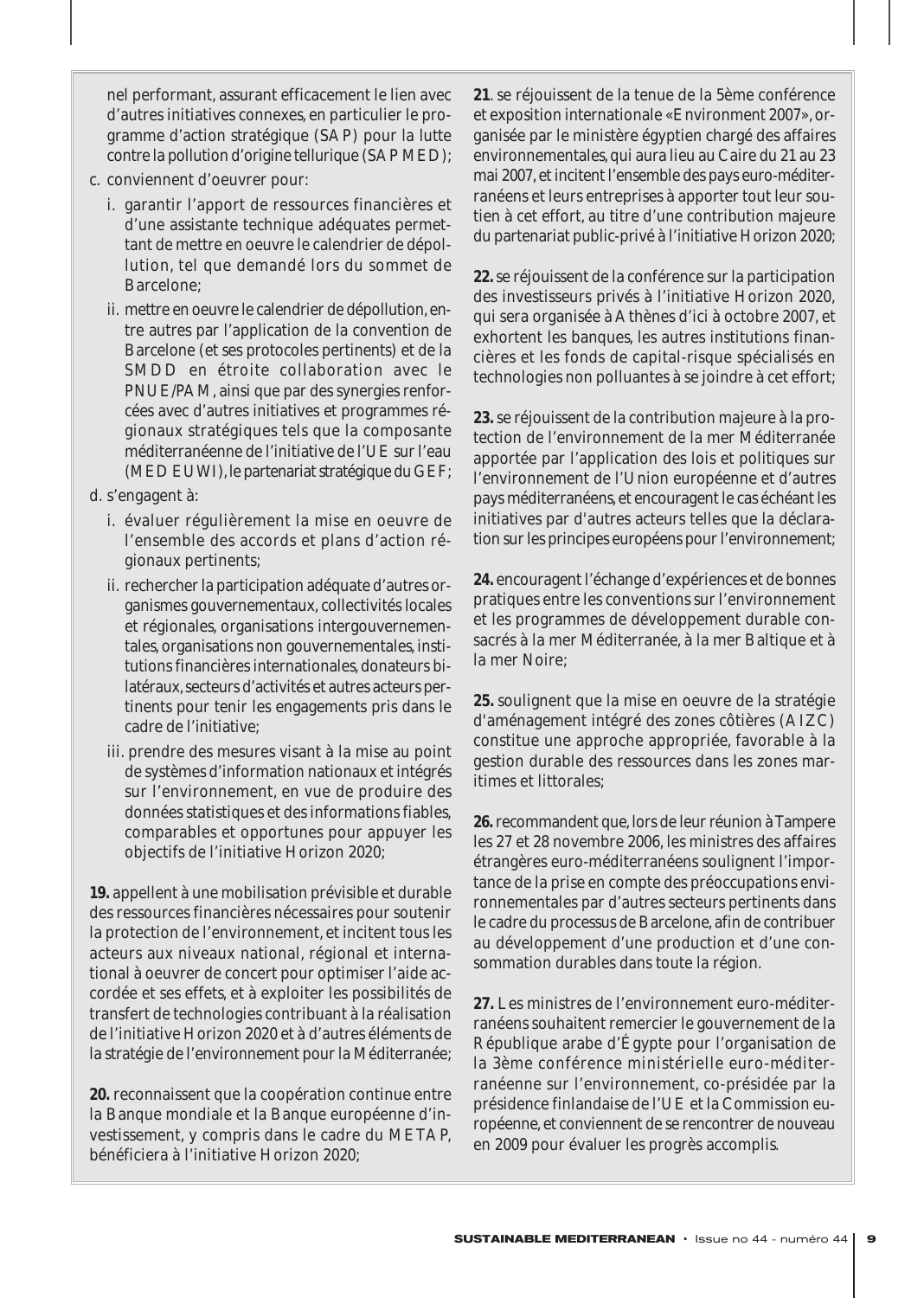nel performant, assurant efficacement le lien avec d'autres initiatives connexes, en particulier le programme d'action stratégique (SAP) pour la lutte contre la pollution d'origine tellurique (SAP MED);

- c. conviennent d'oeuvrer pour:
	- i. garantir l'apport de ressources financières et d'une assistante technique adéquates permettant de mettre en oeuvre le calendrier de dépollution, tel que demandé lors du sommet de Barcelone;
	- ii. mettre en oeuvre le calendrier de dépollution,entre autres par l'application de la convention de Barcelone (et ses protocoles pertinents) et de la SMDD en étroite collaboration avec le PNUE/PAM, ainsi que par des synergies renforcées avec d'autres initiatives et programmes régionaux stratégiques tels que la composante méditerranéenne de l'initiative de l'UE sur l'eau (MED EUWI), le partenariat stratégique du GEF;
- d. s'engagent à:
	- i. évaluer régulièrement la mise en oeuvre de l'ensemble des accords et plans d'action régionaux pertinents;
	- ii. rechercher la participation adéquate d'autres organismes gouvernementaux, collectivités locales et régionales, organisations intergouvernementales, organisations non gouvernementales, institutions financières internationales, donateurs bilatéraux, secteurs d'activités et autres acteurs pertinents pour tenir les engagements pris dans le cadre de l'initiative;
	- iii. prendre des mesures visant à la mise au point de systèmes d'information nationaux et intégrés sur l'environnement, en vue de produire des données statistiques et des informations fiables, comparables et opportunes pour appuyer les objectifs de l'initiative Horizon 2020;

**19.** appellent à une mobilisation prévisible et durable des ressources financières nécessaires pour soutenir la protection de l'environnement, et incitent tous les acteurs aux niveaux national, régional et international à oeuvrer de concert pour optimiser l'aide accordée et ses effets, et à exploiter les possibilités de transfert de technologies contribuant à la réalisation de l'initiative Horizon 2020 et à d'autres éléments de la stratégie de l'environnement pour la Méditerranée;

**20.** reconnaissent que la coopération continue entre la Banque mondiale et la Banque européenne d'investissement, y compris dans le cadre du METAP, bénéficiera à l'initiative Horizon 2020;

**21**. se réjouissent de la tenue de la 5ème conférence et exposition internationale «Environment 2007», organisée par le ministère égyptien chargé des affaires environnementales, qui aura lieu au Caire du 21 au 23 mai 2007,et incitent l'ensemble des pays euro-méditerranéens et leurs entreprises à apporter tout leur soutien à cet effort, au titre d'une contribution majeure du partenariat public-privé à l'initiative Horizon 2020;

**22.**se réjouissent de la conférence sur la participation des investisseurs privés à l'initiative Horizon 2020, qui sera organisée à Athènes d'ici à octobre 2007, et exhortent les banques, les autres institutions financières et les fonds de capital-risque spécialisés en technologies non polluantes à se joindre à cet effort;

**23.**se réjouissent de la contribution majeure à la protection de l'environnement de la mer Méditerranée apportée par l'application des lois et politiques sur l'environnement de l'Union européenne et d'autres pays méditerranéens, et encouragent le cas échéant les initiatives par d'autres acteurs telles que la déclaration sur les principes européens pour l'environnement;

**24.** encouragent l'échange d'expériences et de bonnes pratiques entre les conventions sur l'environnement et les programmes de développement durable consacrés à la mer Méditerranée, à la mer Baltique et à la mer Noire;

**25.** soulignent que la mise en oeuvre de la stratégie d'aménagement intégré des zones côtières (AIZC) constitue une approche appropriée, favorable à la gestion durable des ressources dans les zones maritimes et littorales;

26. recommandent que, lors de leur réunion à Tampere les 27 et 28 novembre 2006, les ministres des affaires étrangères euro-méditerranéens soulignent l'importance de la prise en compte des préoccupations environnementales par d'autres secteurs pertinents dans le cadre du processus de Barcelone, afin de contribuer au développement d'une production et d'une consommation durables dans toute la région.

**27.** Les ministres de l'environnement euro-méditerranéens souhaitent remercier le gouvernement de la République arabe d'Égypte pour l'organisation de la 3ème conférence ministérielle euro-méditerranéenne sur l'environnement, co-présidée par la présidence finlandaise de l'UE et la Commission européenne, et conviennent de se rencontrer de nouveau en 2009 pour évaluer les progrès accomplis.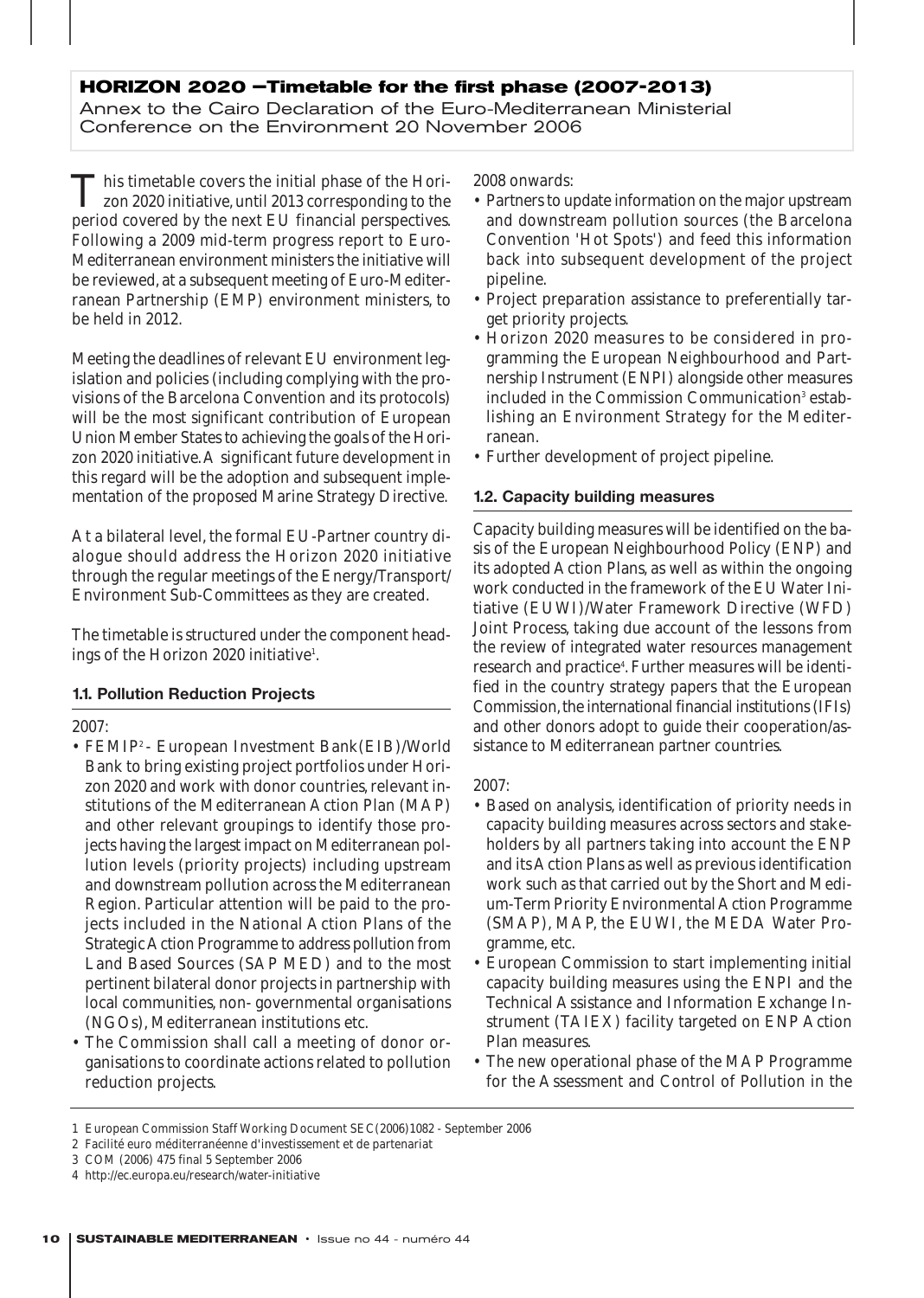# **HORIZON 2020 –Timetable for the first phase (2007-2013)**

Annex to the Cairo Declaration of the Euro-Mediterranean Ministerial Conference on the Environment 20 November 2006

This timetable covers the initial phase of the Horizon 2020 initiative, until 2013 corresponding to the period covered by the next EU financial perspectives. Following a 2009 mid-term progress report to Euro-Mediterranean environment ministers the initiative will be reviewed, at a subsequent meeting of Euro-Mediterranean Partnership (EMP) environment ministers, to be held in 2012.

Meeting the deadlines of relevant EU environment legislation and policies (including complying with the provisions of the Barcelona Convention and its protocols) will be the most significant contribution of European Union Member States to achieving the goals of the Horizon 2020 initiative.A significant future development in this regard will be the adoption and subsequent implementation of the proposed Marine Strategy Directive.

At a bilateral level, the formal EU-Partner country dialogue should address the Horizon 2020 initiative through the regular meetings of the Energy/Transport/ Environment Sub-Committees as they are created.

The timetable is structured under the component headings of the Horizon 2020 initiative<sup>1</sup>.

#### **1.1. Pollution Reduction Projects**

2007:

- FEMIP2 European Investment Bank(EIB)/World Bank to bring existing project portfolios under Horizon 2020 and work with donor countries, relevant institutions of the Mediterranean Action Plan (MAP) and other relevant groupings to identify those projects having the largest impact on Mediterranean pollution levels (priority projects) including upstream and downstream pollution across the Mediterranean Region. Particular attention will be paid to the projects included in the National Action Plans of the Strategic Action Programme to address pollution from Land Based Sources (SAP MED) and to the most pertinent bilateral donor projects in partnership with local communities, non- governmental organisations (NGOs), Mediterranean institutions etc.
- The Commission shall call a meeting of donor organisations to coordinate actions related to pollution reduction projects.

2008 onwards:

- Partners to update information on the major upstream and downstream pollution sources (the Barcelona Convention 'Hot Spots') and feed this information back into subsequent development of the project pipeline.
- Project preparation assistance to preferentially target priority projects.
- Horizon 2020 measures to be considered in programming the European Neighbourhood and Partnership Instrument (ENPI) alongside other measures included in the Commission Communication<sup>3</sup> establishing an Environment Strategy for the Mediterranean.
- Further development of project pipeline.

#### **1.2. Capacity building measures**

Capacity building measures will be identified on the basis of the European Neighbourhood Policy (ENP) and its adopted Action Plans, as well as within the ongoing work conducted in the framework of the EU Water Initiative (EUWI)/Water Framework Directive (WFD) Joint Process, taking due account of the lessons from the review of integrated water resources management research and practice<sup>4</sup>. Further measures will be identified in the country strategy papers that the European Commission, the international financial institutions (IFIs) and other donors adopt to guide their cooperation/assistance to Mediterranean partner countries.

#### 2007:

- Based on analysis, identification of priority needs in capacity building measures across sectors and stakeholders by all partners taking into account the ENP and its Action Plans as well as previous identification work such as that carried out by the Short and Medium-Term Priority Environmental Action Programme (SMAP), MAP, the EUWI, the MEDA Water Programme, etc.
- European Commission to start implementing initial capacity building measures using the ENPI and the Technical Assistance and Information Exchange Instrument (TAIEX) facility targeted on ENP Action Plan measures.
- The new operational phase of the MAP Programme for the Assessment and Control of Pollution in the

<sup>1</sup> European Commission Staff Working Document SEC(2006)1082 - September 2006

<sup>2</sup> Facilité euro méditerranéenne d'investissement et de partenariat

<sup>3</sup> COM (2006) 475 final 5 September 2006

<sup>4</sup> http://ec.europa.eu/research/water-initiative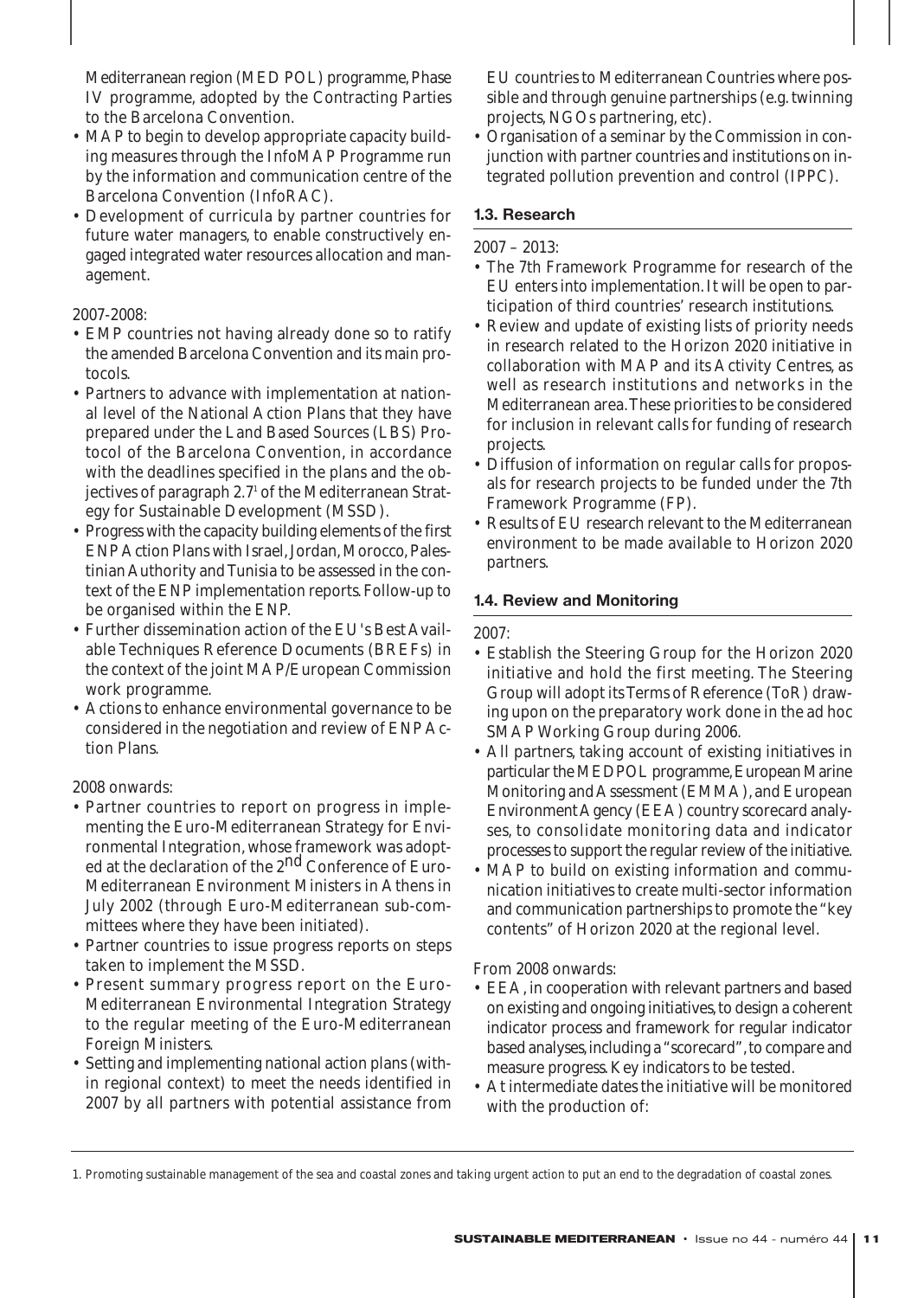Mediterranean region (MED POL) programme, Phase IV programme, adopted by the Contracting Parties to the Barcelona Convention.

- MAP to begin to develop appropriate capacity building measures through the *Info*MAP Programme run by the information and communication centre of the Barcelona Convention (*Info*RAC).
- Development of curricula by partner countries for future water managers, to enable constructively engaged integrated water resources allocation and management.

# 2007-2008:

- EMP countries not having already done so to ratify the amended Barcelona Convention and its main protocols.
- Partners to advance with implementation at national level of the National Action Plans that they have prepared under the Land Based Sources (LBS) Protocol of the Barcelona Convention, in accordance with the deadlines specified in the plans and the objectives of paragraph 2.7<sup>1</sup> of the Mediterranean Strategy for Sustainable Development (MSSD).
- Progress with the capacity building elements of the first ENP Action Plans with Israel, Jordan, Morocco, Palestinian Authority and Tunisia to be assessed in the context of the ENP implementation reports. Follow-up to be organised within the ENP.
- Further dissemination action of the EU's Best Available Techniques Reference Documents (BREFs) in the context of the joint MAP/European Commission work programme.
- Actions to enhance environmental governance to be considered in the negotiation and review of ENP Action Plans.

# 2008 onwards:

- Partner countries to report on progress in implementing the Euro-Mediterranean Strategy for Environmental Integration, whose framework was adopted at the declaration of the 2<sup>nd</sup> Conference of Euro-Mediterranean Environment Ministers in Athens in July 2002 (through Euro-Mediterranean sub-committees where they have been initiated).
- Partner countries to issue progress reports on steps taken to implement the MSSD.
- Present summary progress report on the Euro-Mediterranean Environmental Integration Strategy to the regular meeting of the Euro-Mediterranean Foreign Ministers.
- Setting and implementing national action plans (within regional context) to meet the needs identified in 2007 by all partners with potential assistance from

EU countries to Mediterranean Countries where possible and through genuine partnerships (e.g. twinning projects, NGOs partnering, etc).

• Organisation of a seminar by the Commission in conjunction with partner countries and institutions on integrated pollution prevention and control (IPPC).

# **1.3. Research**

# 2007 – 2013:

- The 7th Framework Programme for research of the EU enters into implementation. It will be open to participation of third countries' research institutions.
- Review and update of existing lists of priority needs in research related to the Horizon 2020 initiative in collaboration with MAP and its Activity Centres, as well as research institutions and networks in the Mediterranean area.These priorities to be considered for inclusion in relevant calls for funding of research projects.
- Diffusion of information on regular calls for proposals for research projects to be funded under the 7th Framework Programme (FP).
- Results of EU research relevant to the Mediterranean environment to be made available to Horizon 2020 partners.

# **1.4. Review and Monitoring**

#### 2007:

- Establish the Steering Group for the Horizon 2020 initiative and hold the first meeting. The Steering Group will adopt its Terms of Reference (ToR) drawing upon on the preparatory work done in the ad hoc SMAP Working Group during 2006.
- All partners, taking account of existing initiatives in particular the MEDPOL programme, European Marine Monitoring and Assessment (EMMA), and European Environment Agency (EEA) country scorecard analyses, to consolidate monitoring data and indicator processes to support the regular review of the initiative.
- MAP to build on existing information and communication initiatives to create multi-sector information and communication partnerships to promote the "key contents" of Horizon 2020 at the regional level.

From 2008 onwards:

- EEA, in cooperation with relevant partners and based on existing and ongoing initiatives, to design a coherent indicator process and framework for regular indicator based analyses, including a "scorecard", to compare and measure progress. Key indicators to be tested.
- At intermediate dates the initiative will be monitored with the production of:

<sup>1.</sup> Promoting sustainable management of the sea and coastal zones and taking urgent action to put an end to the degradation of coastal zones.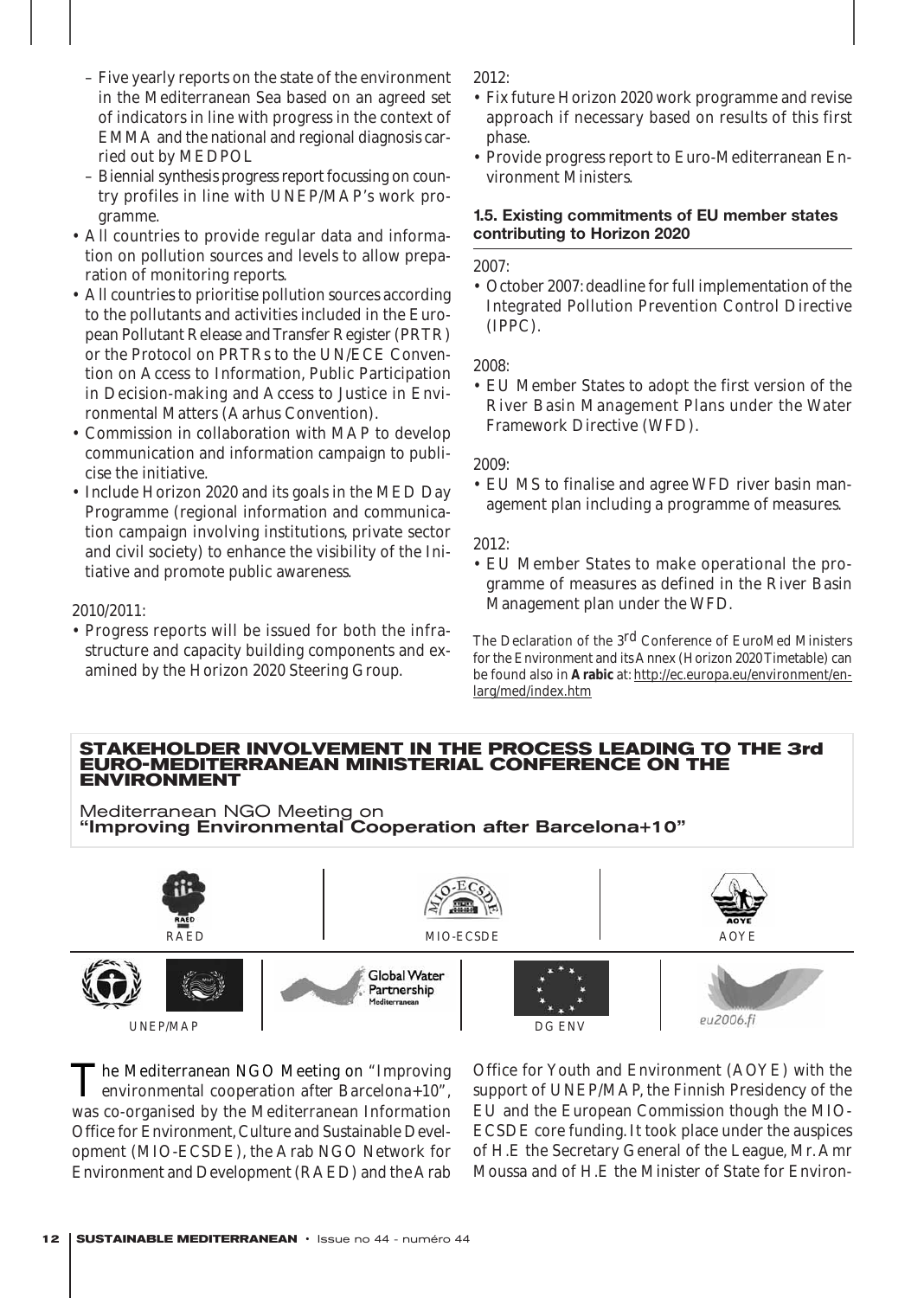- Five yearly reports on the state of the environment in the Mediterranean Sea based on an agreed set of indicators in line with progress in the context of EMMA and the national and regional diagnosis carried out by MEDPOL
- Biennial synthesis progress report focussing on country profiles in line with UNEP/MAP's work programme.
- All countries to provide regular data and information on pollution sources and levels to allow preparation of monitoring reports.
- All countries to prioritise pollution sources according to the pollutants and activities included in the European Pollutant Release and Transfer Register (PRTR) or the Protocol on PRTRs to the UN/ECE Convention on Access to Information, Public Participation in Decision-making and Access to Justice in Environmental Matters (Aarhus Convention).
- Commission in collaboration with MAP to develop communication and information campaign to publicise the initiative.
- Include Horizon 2020 and its goals in the MED Day Programme (regional information and communication campaign involving institutions, private sector and civil society) to enhance the visibility of the Initiative and promote public awareness.

#### 2010/2011:

• Progress reports will be issued for both the infrastructure and capacity building components and examined by the Horizon 2020 Steering Group.

2012:

- Fix future Horizon 2020 work programme and revise approach if necessary based on results of this first phase.
- Provide progress report to Euro-Mediterranean Environment Ministers.

#### **1.5. Existing commitments of EU member states contributing to Horizon 2020**

2007:

• October 2007: deadline for full implementation of the Integrated Pollution Prevention Control Directive (IPPC).

2008:

• EU Member States to adopt the first version of the River Basin Management Plans under the Water Framework Directive (WFD).

2009:

• EU MS to finalise and agree WFD river basin management plan including a programme of measures.

2012:

• EU Member States to make operational the programme of measures as defined in the River Basin Management plan under the WFD.

The Declaration of the 3<sup>rd</sup> Conference of EuroMed Ministers for the Environment and its Annex (Horizon 2020 Timetable) can be found also in **Arabic** at: http://ec.europa.eu/environment/enlarg/med/index.htm

#### **STAKEHOLDER INVOLVEMENT IN THE PROCESS LEADING TO THE 3rd EURO-MEDITERRANEAN MINISTERIAL CONFERENCE ON THE ENVIRONMENT**

Mediterranean NGO Meeting on "Improving Environmental Cooperation after Barcelona+10"



The Mediterranean NGO Meeting on *"Improving environmental cooperation after Barcelona+10"*, was co-organised by the Mediterranean Information Office for Environment, Culture and Sustainable Development (MIO-ECSDE), the Arab NGO Network for Environment and Development (RAED) and the Arab

Office for Youth and Environment (AOYE) with the support of UNEP/MAP, the Finnish Presidency of the EU and the European Commission though the MIO-ECSDE core funding. It took place under the auspices of H.E the Secretary General of the League, Mr. Amr Moussa and of H.E the Minister of State for Environ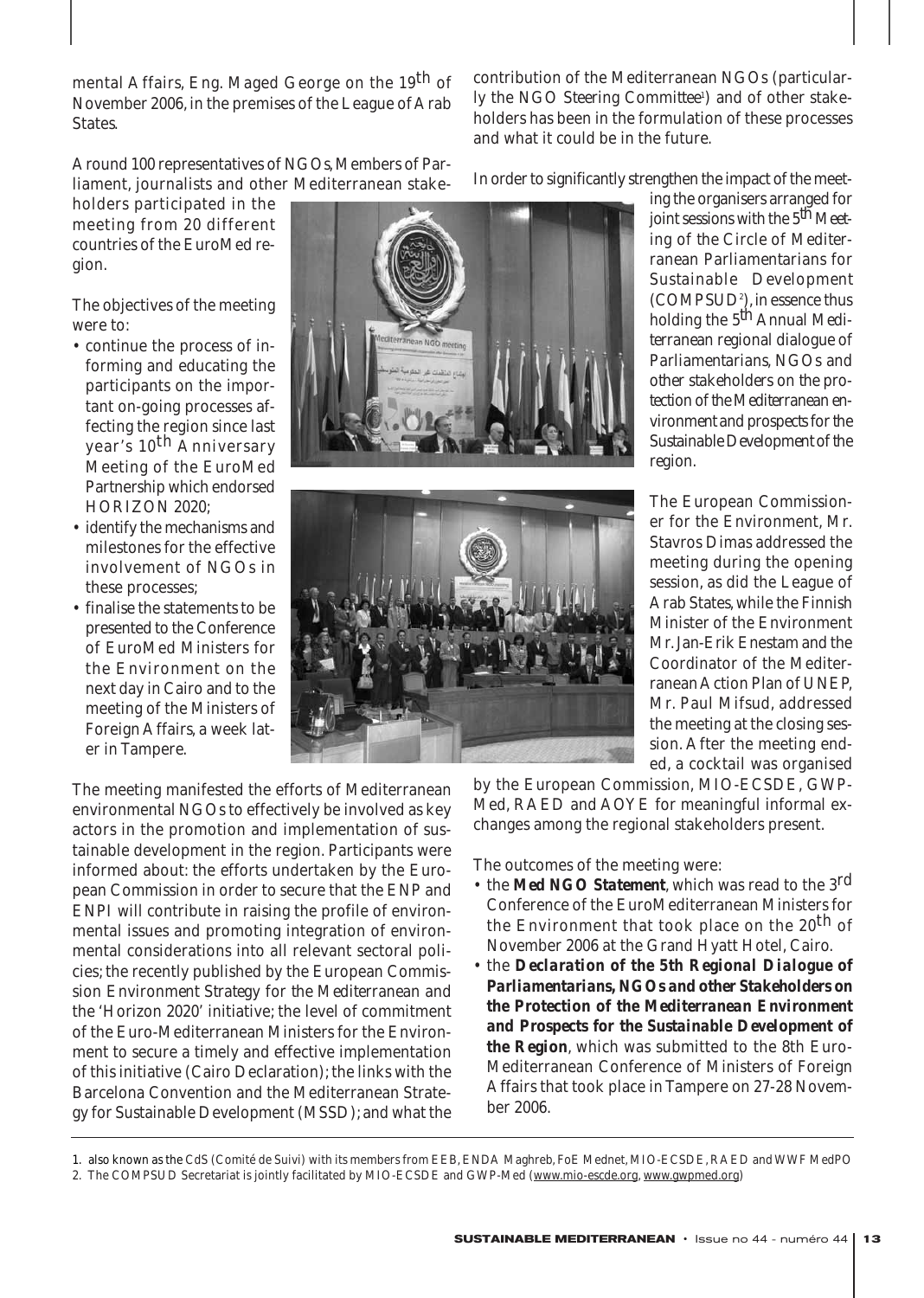mental Affairs, Eng. Maged George on the 19th of November 2006, in the premises of the League of Arab States.

Around 100 representatives of NGOs, Members of Parliament, journalists and other Mediterranean stake-

holders participated in the meeting from 20 different countries of the EuroMed region.

The objectives of the meeting were to:

- continue the process of informing and educating the participants on the important on-going processes affecting the region since last year's 10th Anniversary Meeting of the EuroMed Partnership which endorsed HORIZON 2020;
- identify the mechanisms and milestones for the effective involvement of NGOs in these processes;
- finalise the statements to be presented to the Conference of EuroMed Ministers for the Environment on the next day in Cairo and to the meeting of the Ministers of Foreign Affairs, a week later in Tampere.

The meeting manifested the efforts of Mediterranean environmental NGOs to effectively be involved as key actors in the promotion and implementation of sustainable development in the region. Participants were informed about: the efforts undertaken by the European Commission in order to secure that the ENP and ENPI will contribute in raising the profile of environmental issues and promoting integration of environmental considerations into all relevant sectoral policies; the recently published by the European Commission *Environment Strategy for the Mediterranean* and the 'Horizon 2020' initiative; the level of commitment of the Euro-Mediterranean Ministers for the Environment to secure a timely and effective implementation of this initiative (Cairo Declaration); the links with the Barcelona Convention and the Mediterranean Strategy for Sustainable Development (MSSD); and what the





contribution of the Mediterranean NGOs (particularly the *NGO Steering Committee'*) and of other stakeholders has been in the formulation of these processes and what it could be in the future.

In order to significantly strengthen the impact of the meet-

ing the organisers arranged for joint sessions with the  $5^{th}$  Meet*ing of the Circle of Mediterranean Parliamentarians for Sustainable Development (COMPSUD2 ),*in essence thus holding the *5th Annual Mediterranean regional dialogue of Parliamentarians, NGOs and other stakeholders on the protection of the Mediterranean environment and prospects for the Sustainable Development of the region.*

The European Commissioner for the Environment, Mr. Stavros Dimas addressed the meeting during the opening session, as did the League of Arab States, while the Finnish Minister of the Environment Mr. Jan-Erik Enestam and the Coordinator of the Mediterranean Action Plan of UNEP, Mr. Paul Mifsud, addressed the meeting at the closing session. After the meeting ended, a cocktail was organised

by the European Commission, MIO-ECSDE, GWP-Med, RAED and AOYE for meaningful informal exchanges among the regional stakeholders present.

The outcomes of the meeting were:

- the *Med NGO Statement*, which was read to the 3rd Conference of the EuroMediterranean Ministers for the Environment that took place on the 20<sup>th</sup> of November 2006 at the Grand Hyatt Hotel, Cairo.
- the *Declaration of the 5th Regional Dialogue of Parliamentarians, NGOs and other Stakeholders on the Protection of the Mediterranean Environment and Prospects for the Sustainable Development of the Region*, which was submitted to the 8th Euro-Mediterranean Conference of Ministers of Foreign Affairs that took place in Tampere on 27-28 November 2006.

<sup>1.</sup> also known as the *CdS* (Comité de Suivi) with its members from EEB, ENDA Maghreb, FoE Mednet, MIO-ECSDE, RAED and WWF MedPO

<sup>2.</sup> The COMPSUD Secretariat is jointly facilitated by MIO-ECSDE and GWP-Med (www.mio-escde.org, www.gwpmed.org)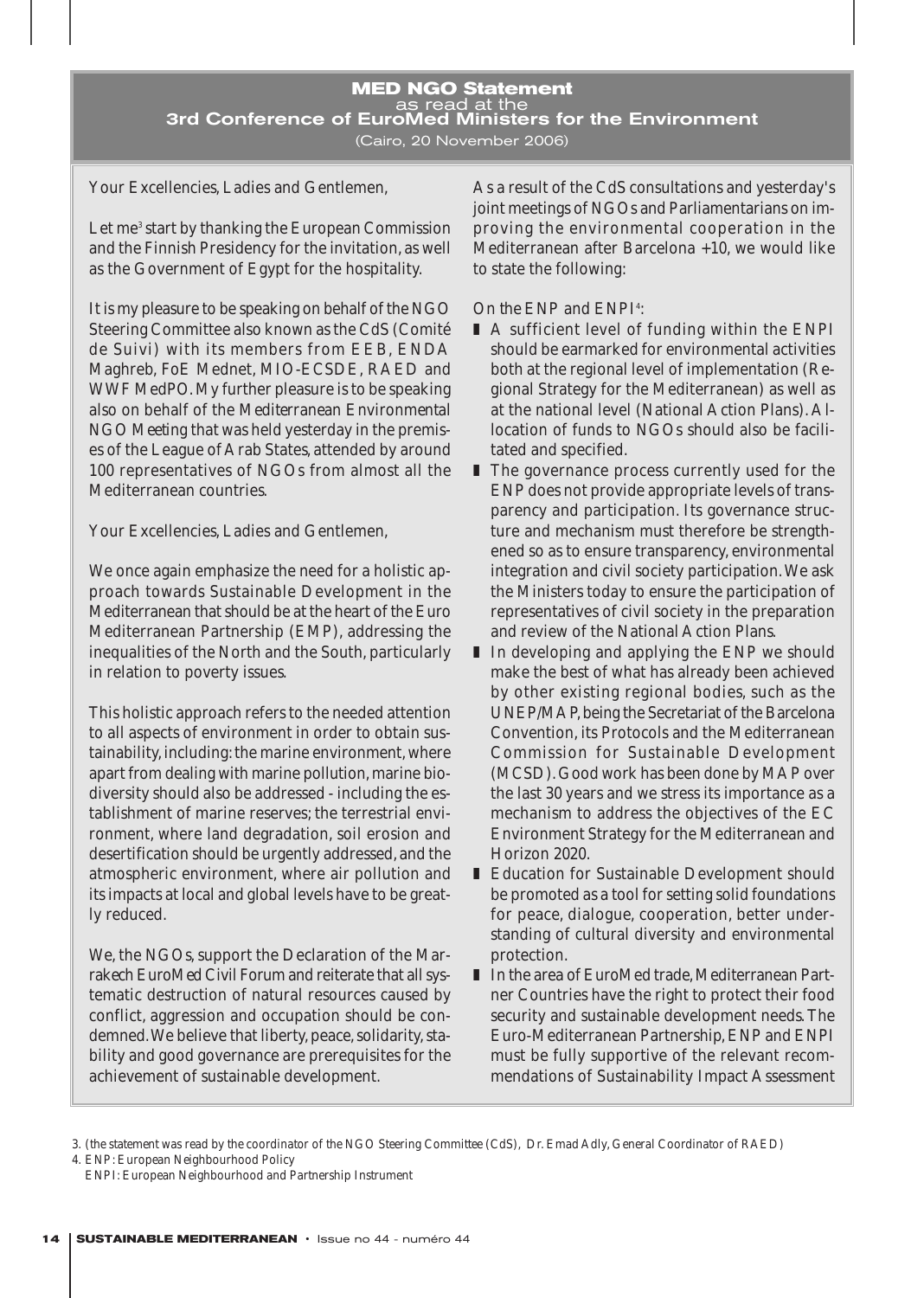#### **MED NGO Statement**  as read at the 3rd Conference of EuroMed Ministers for the Environment (Cairo, 20 November 2006)

Your Excellencies, Ladies and Gentlemen,

Let me<sup>3</sup> start by thanking the European Commission and the Finnish Presidency for the invitation, as well as the Government of Egypt for the hospitality.

It is my pleasure to be speaking on behalf of the NGO Steering Committee also known as the *CdS* (Comité de Suivi) with its members from EEB, ENDA Maghreb, FoE Mednet, MIO-ECSDE, RAED and WWF MedPO. My further pleasure is to be speaking also on behalf of the *Mediterranean Environmental NGO Meeting* that was held yesterday in the premises of the League of Arab States, attended by around 100 representatives of NGOs from almost all the Mediterranean countries.

Your Excellencies, Ladies and Gentlemen,

We once again emphasize the need for a holistic approach towards Sustainable Development in the Mediterranean that should be at the heart of the Euro Mediterranean Partnership (EMP), addressing the inequalities of the North and the South, particularly in relation to poverty issues.

This holistic approach refers to the needed attention to all aspects of environment in order to obtain sustainability, including: the marine environment, where apart from dealing with marine pollution, marine biodiversity should also be addressed - including the establishment of marine reserves; the terrestrial environment, where land degradation, soil erosion and desertification should be urgently addressed, and the atmospheric environment, where air pollution and its impacts at local and global levels have to be greatly reduced.

We, the NGOs, support the Declaration of the *Marrakech EuroMed Civil Forum* and reiterate that all systematic destruction of natural resources caused by conflict, aggression and occupation should be condemned.We believe that liberty, peace, solidarity, stability and good governance are prerequisites for the achievement of sustainable development.

As a result of the *CdS* consultations and yesterday's joint meetings of NGOs and Parliamentarians on improving the environmental cooperation in the Mediterranean after Barcelona +10, we would like to state the following:

# *On the ENP and ENPI*<sup>4</sup> *:*

- A sufficient level of funding within the ENPI should be earmarked for environmental activities both at the regional level of implementation (Regional Strategy for the Mediterranean) as well as at the national level (National Action Plans). Allocation of funds to NGOs should also be facilitated and specified.
- The governance process currently used for the ENP does not provide appropriate levels of transparency and participation. Its governance structure and mechanism must therefore be strengthened so as to ensure transparency, environmental integration and civil society participation.We ask the Ministers today to ensure the participation of representatives of civil society in the preparation and review of the National Action Plans.
- In developing and applying the ENP we should make the best of what has already been achieved by other existing regional bodies, such as the UNEP/MAP,being the Secretariat of the Barcelona Convention, its Protocols and the Mediterranean Commission for Sustainable Development (MCSD). Good work has been done by MAP over the last 30 years and we stress its importance as a mechanism to address the objectives of the EC Environment Strategy for the Mediterranean and Horizon 2020.
- Education for Sustainable Development should be promoted as a tool for setting solid foundations for peace, dialogue, cooperation, better understanding of cultural diversity and environmental protection.
- In the area of EuroMed trade, Mediterranean Partner Countries have the right to protect their food security and sustainable development needs. The Euro-Mediterranean Partnership, ENP and ENPI must be fully supportive of the relevant recommendations of Sustainability Impact Assessment

3. *(the statement was read by the coordinator of the NGO Steering Committee (CdS), Dr. Emad Adly, General Coordinator of RAED)*

4. *ENP: European Neighbourhood Policy ENPI: European Neighbourhood and Partnership Instrument*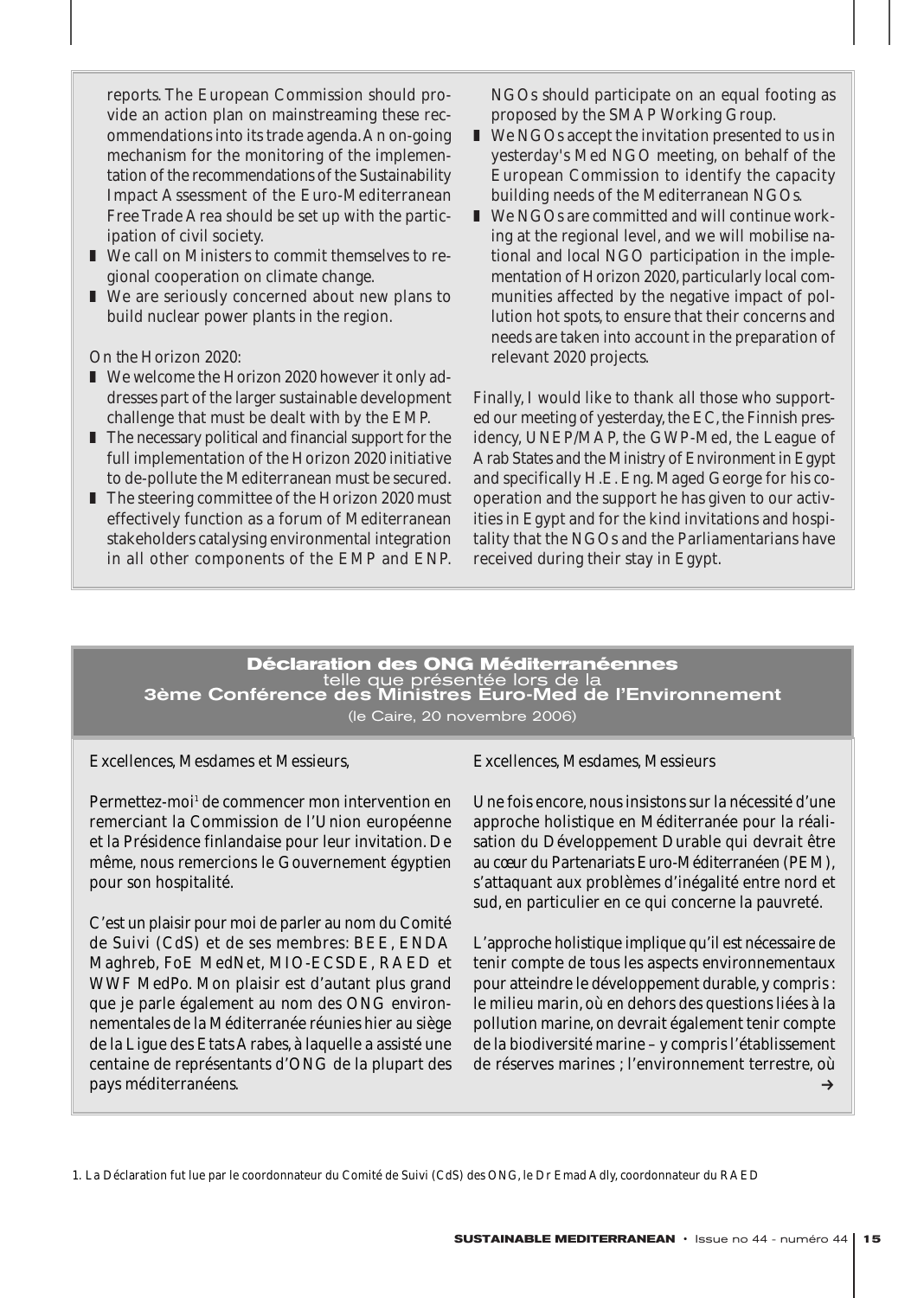reports. The European Commission should provide an action plan on mainstreaming these recommendations into its trade agenda.An on-going mechanism for the monitoring of the implementation of the recommendations of the Sustainability Impact Assessment of the Euro-Mediterranean Free Trade Area should be set up with the participation of civil society.

- We call on Ministers to commit themselves to regional cooperation on climate change.
- We are seriously concerned about new plans to build nuclear power plants in the region.

#### *On the Horizon 2020:*

- We welcome the Horizon 2020 however it only addresses part of the larger sustainable development challenge that must be dealt with by the EMP.
- The necessary political and financial support for the full implementation of the Horizon 2020 initiative to de-pollute the Mediterranean must be secured.
- The steering committee of the Horizon 2020 must effectively function as a forum of Mediterranean stakeholders catalysing environmental integration in all other components of the EMP and ENP.

NGOs should participate on an equal footing as proposed by the SMAP Working Group.

- We NGOs accept the invitation presented to us in yesterday's Med NGO meeting, on behalf of the European Commission to identify the capacity building needs of the Mediterranean NGOs.
- We NGOs are committed and will continue working at the regional level, and we will mobilise national and local NGO participation in the implementation of Horizon 2020, particularly local communities affected by the negative impact of pollution hot spots, to ensure that their concerns and needs are taken into account in the preparation of relevant 2020 projects.

Finally, I would like to thank all those who supported our meeting of yesterday, the EC, the Finnish presidency, UNEP/MAP, the GWP-Med, the League of Arab States and the Ministry of Environment in Egypt and specifically H.E. Eng. Maged George for his cooperation and the support he has given to our activities in Egypt and for the kind invitations and hospitality that the NGOs and the Parliamentarians have received during their stay in Egypt.

# **Déclaration des ONG Méditerranéennes** telle que présentée lors de la 3ème Conférence des Ministres Euro-Med de l'Environnement (le Caire, 20 novembre 2006)

Excellences, Mesdames et Messieurs,

Permettez-moi<sup>1</sup> de commencer mon intervention en remerciant la Commission de l'Union européenne et la Présidence finlandaise pour leur invitation. De même, nous remercions le Gouvernement égyptien pour son hospitalité.

C'est un plaisir pour moi de parler au nom du Comité de Suivi (CdS) et de ses membres: BEE, ENDA Maghreb, FoE MedNet, MIO-ECSDE, RAED et WWF MedPo. Mon plaisir est d'autant plus grand que je parle également au nom des ONG environnementales de la Méditerranée réunies hier au siège de la Ligue des Etats Arabes, à laquelle a assisté une centaine de représentants d'ONG de la plupart des pays méditerranéens.

Excellences, Mesdames, Messieurs

Une fois encore, nous insistons sur la nécessité d'une approche holistique en Méditerranée pour la réalisation du Développement Durable qui devrait être au cœur du Partenariats Euro-Méditerranéen (PEM), s'attaquant aux problèmes d'inégalité entre nord et sud, en particulier en ce qui concerne la pauvreté.

L'approche holistique implique qu'il est nécessaire de tenir compte de tous les aspects environnementaux pour atteindre le développement durable, y compris : le milieu marin, où en dehors des questions liées à la pollution marine, on devrait également tenir compte de la biodiversité marine – y compris l'établissement de réserves marines ; l'environnement terrestre, où  $\rightarrow$ 

1. La Déclaration fut lue par le coordonnateur du Comité de Suivi (CdS) des ONG, le Dr Emad Adly, coordonnateur du RAED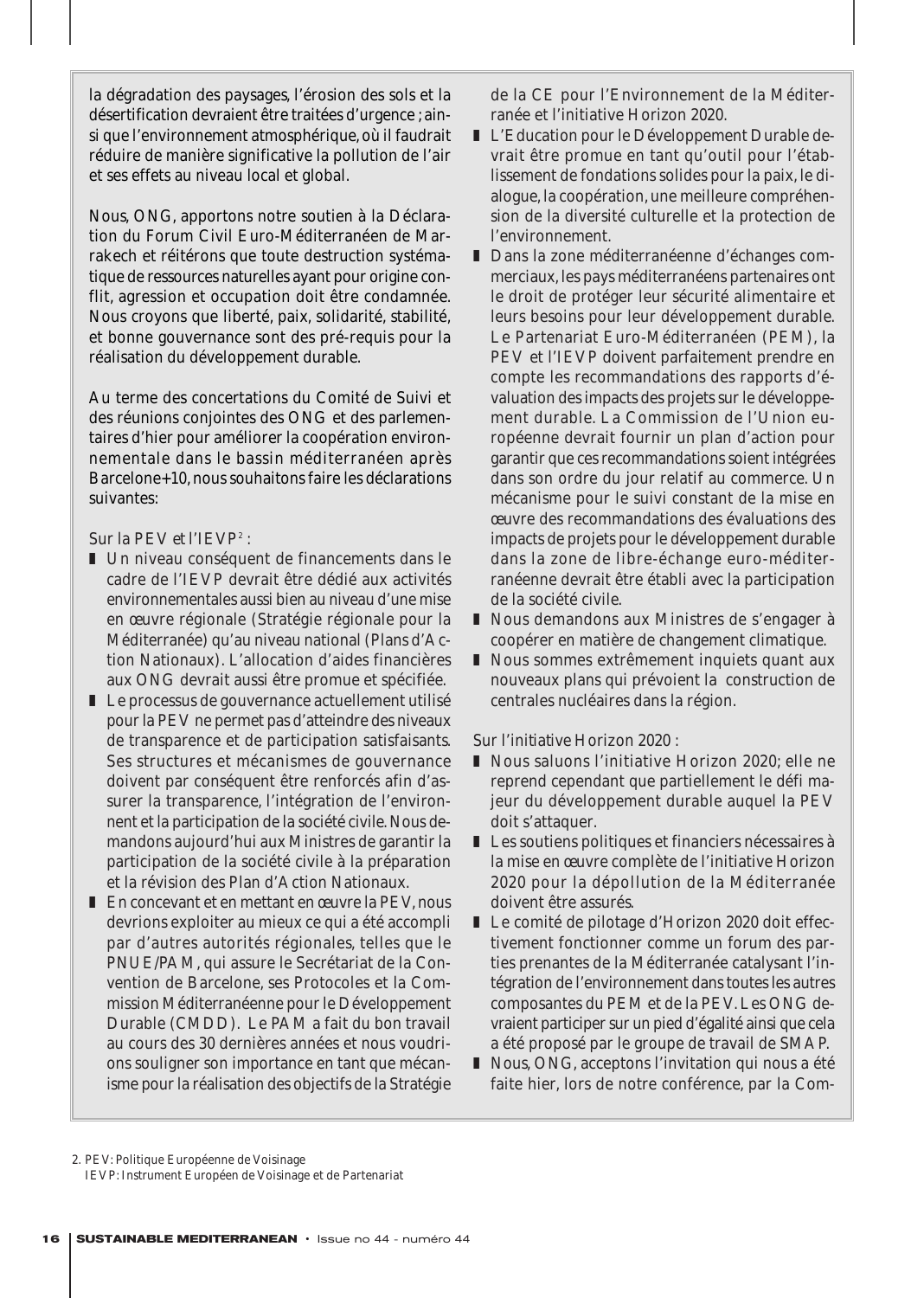la dégradation des paysages, l'érosion des sols et la désertification devraient être traitées d'urgence ; ainsi que l'environnement atmosphérique, où il faudrait réduire de manière significative la pollution de l'air et ses effets au niveau local et global.

Nous, ONG, apportons notre soutien à la Déclaration du Forum Civil Euro-Méditerranéen de Marrakech et réitérons que toute destruction systématique de ressources naturelles ayant pour origine conflit, agression et occupation doit être condamnée. Nous croyons que liberté, paix, solidarité, stabilité, et bonne gouvernance sont des pré-requis pour la réalisation du développement durable.

Au terme des concertations du Comité de Suivi et des réunions conjointes des ONG et des parlementaires d'hier pour améliorer la coopération environnementale dans le bassin méditerranéen après Barcelone+10, nous souhaitons faire les déclarations suivantes:

# *Sur la PEV et l'IEVP2 :*

- Un niveau conséquent de financements dans le cadre de l'IEVP devrait être dédié aux activités environnementales aussi bien au niveau d'une mise en œuvre régionale (Stratégie régionale pour la Méditerranée) qu'au niveau national (Plans d'Action Nationaux). L'allocation d'aides financières aux ONG devrait aussi être promue et spécifiée.
- Le processus de gouvernance actuellement utilisé pour la PEV ne permet pas d'atteindre des niveaux de transparence et de participation satisfaisants. Ses structures et mécanismes de gouvernance doivent par conséquent être renforcés afin d'assurer la transparence, l'intégration de l'environnent et la participation de la société civile. Nous demandons aujourd'hui aux Ministres de garantir la participation de la société civile à la préparation et la révision des Plan d'Action Nationaux.
- En concevant et en mettant en œuvre la PEV, nous devrions exploiter au mieux ce qui a été accompli par d'autres autorités régionales, telles que le PNUE/PAM, qui assure le Secrétariat de la Convention de Barcelone, ses Protocoles et la Commission Méditerranéenne pour le Développement Durable (CMDD). Le PAM a fait du bon travail au cours des 30 dernières années et nous voudrions souligner son importance en tant que mécanisme pour la réalisation des objectifs de la Stratégie

de la CE pour l'Environnement de la Méditerranée et l'initiative Horizon 2020.

- L'Education pour le Développement Durable devrait être promue en tant qu'outil pour l'établissement de fondations solides pour la paix, le dialogue, la coopération, une meilleure compréhension de la diversité culturelle et la protection de l'environnement.
- Dans la zone méditerranéenne d'échanges commerciaux, les pays méditerranéens partenaires ont le droit de protéger leur sécurité alimentaire et leurs besoins pour leur développement durable. Le Partenariat Euro-Méditerranéen (PEM), la PEV et l'IEVP doivent parfaitement prendre en compte les recommandations des rapports d'évaluation des impacts des projets sur le développement durable. La Commission de l'Union européenne devrait fournir un plan d'action pour garantir que ces recommandations soient intégrées dans son ordre du jour relatif au commerce. Un mécanisme pour le suivi constant de la mise en œuvre des recommandations des évaluations des impacts de projets pour le développement durable dans la zone de libre-échange euro-méditerranéenne devrait être établi avec la participation de la société civile.
- Nous demandons aux Ministres de s'engager à coopérer en matière de changement climatique.
- Nous sommes extrêmement inquiets quant aux nouveaux plans qui prévoient la construction de centrales nucléaires dans la région.

#### *Sur l'initiative Horizon 2020 :*

- Nous saluons l'initiative Horizon 2020; elle ne reprend cependant que partiellement le défi majeur du développement durable auquel la PEV doit s'attaquer.
- Les soutiens politiques et financiers nécessaires à la mise en œuvre complète de l'initiative Horizon 2020 pour la dépollution de la Méditerranée doivent être assurés.
- Le comité de pilotage d'Horizon 2020 doit effectivement fonctionner comme un forum des parties prenantes de la Méditerranée catalysant l'intégration de l'environnement dans toutes les autres composantes du PEM et de la PEV. Les ONG devraient participer sur un pied d'égalité ainsi que cela a été proposé par le groupe de travail de SMAP.
- Nous, ONG, acceptons l'invitation qui nous a été faite hier, lors de notre conférence, par la Com-

2. PEV: Politique Européenne de Voisinage IEVP: Instrument Européen de Voisinage et de Partenariat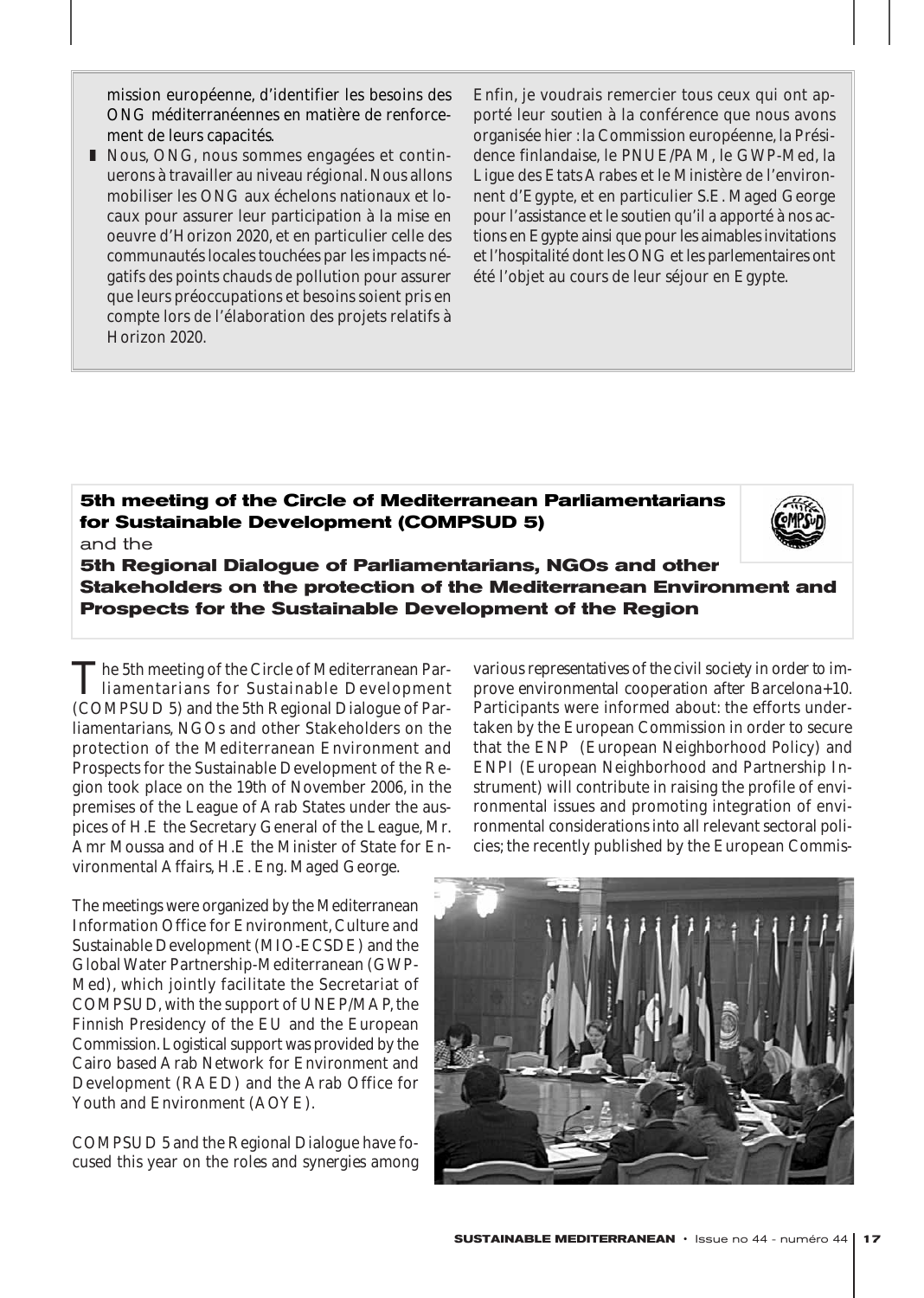mission européenne, d'identifier les besoins des ONG méditerranéennes en matière de renforcement de leurs capacités.

■ Nous, ONG, nous sommes engagées et continuerons à travailler au niveau régional. Nous allons mobiliser les ONG aux échelons nationaux et locaux pour assurer leur participation à la mise en oeuvre d'Horizon 2020, et en particulier celle des communautés locales touchées par les impacts négatifs des points chauds de pollution pour assurer que leurs préoccupations et besoins soient pris en compte lors de l'élaboration des projets relatifs à Horizon 2020.

Enfin, je voudrais remercier tous ceux qui ont apporté leur soutien à la conférence que nous avons organisée hier : la Commission européenne, la Présidence finlandaise, le PNUE/PAM, le GWP-Med, la Ligue des Etats Arabes et le Ministère de l'environnent d'Egypte, et en particulier S.E. Maged George pour l'assistance et le soutien qu'il a apporté à nos actions en Egypte ainsi que pour les aimables invitations et l'hospitalité dont les ONG et les parlementaires ont été l'objet au cours de leur séjour en Egypte.

# **5th meeting of the Circle of Mediterranean Parliamentarians for Sustainable Development (COMPSUD 5)**  and the



**5th Regional Dialogue of Parliamentarians, NGOs and other Stakeholders on the protection of the Mediterranean Environment and Prospects for the Sustainable Development of the Region**

The 5th meeting of the Circle of Mediterranean Par-<br>liamentarians for Sustainable Development (COMPSUD 5) and the 5th Regional Dialogue of Parliamentarians, NGOs and other Stakeholders on the protection of the Mediterranean Environment and Prospects for the Sustainable Development of the Region took place on the 19th of November 2006, in the premises of the League of Arab States under the auspices of H.E the Secretary General of the League, Mr. Amr Moussa and of H.E the Minister of State for Environmental Affairs, H.E. Eng. Maged George.

The meetings were organized by the Mediterranean Information Office for Environment, Culture and Sustainable Development (MIO-ECSDE) and the Global Water Partnership-Mediterranean (GWP-Med), which jointly facilitate the Secretariat of COMPSUD, with the support of UNEP/MAP, the Finnish Presidency of the EU and the European Commission.Logistical support was provided by the Cairo based Arab Network for Environment and Development (RAED) and the Arab Office for Youth and Environment (AOYE).

COMPSUD 5 and the Regional Dialogue have focused this year on the *roles and synergies among* *various representatives of the civil society in order to improve environmental cooperation after Barcelona+10.* Participants were informed about: the efforts undertaken by the European Commission in order to secure that the ENP (European Neighborhood Policy) and ENPI (European Neighborhood and Partnership Instrument) will contribute in raising the profile of environmental issues and promoting integration of environmental considerations into all relevant sectoral policies; the recently published by the European Commis-

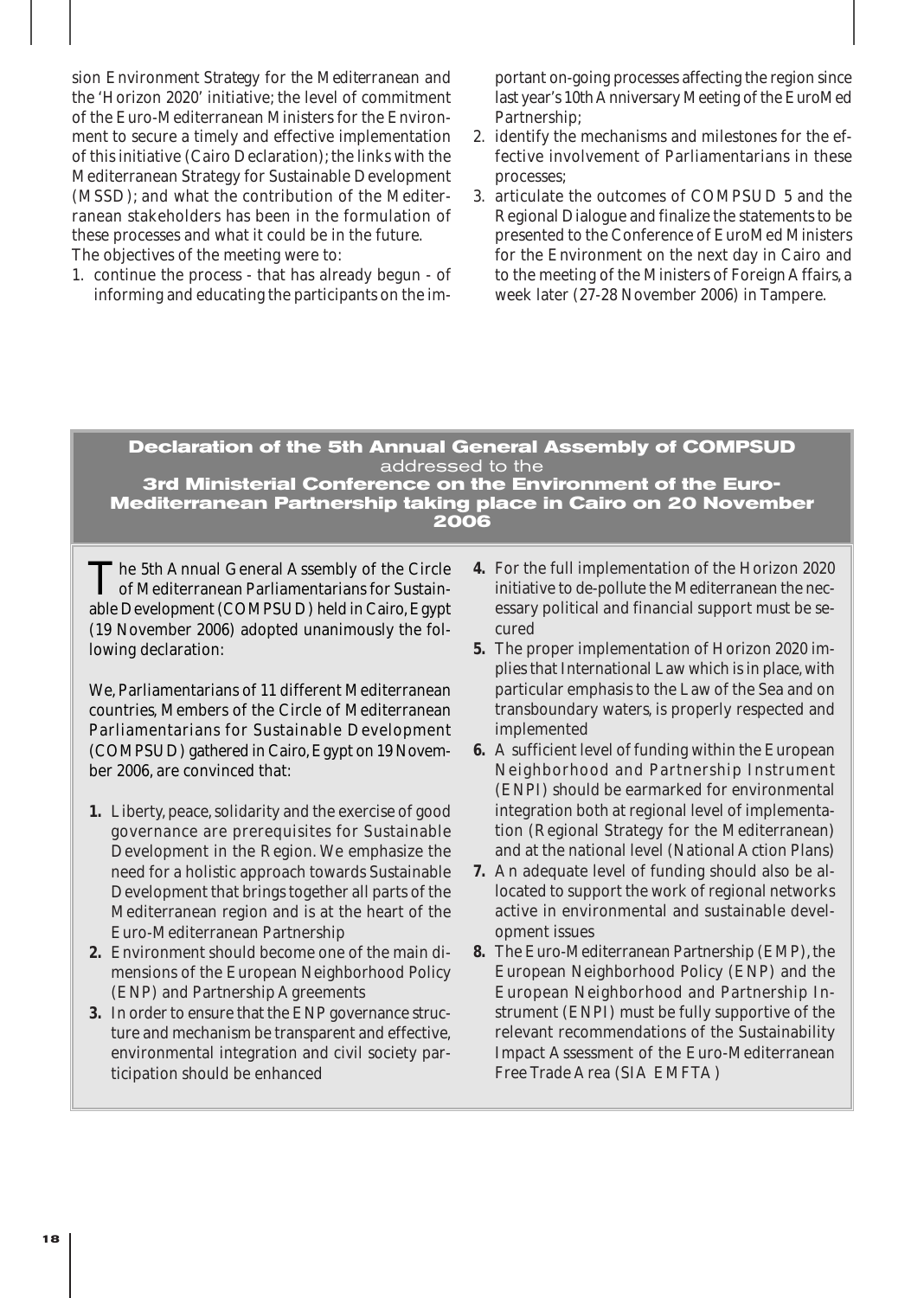sion *Environment Strategy for the Mediterranean* and the 'Horizon 2020' initiative; the level of commitment of the Euro-Mediterranean Ministers for the Environment to secure a timely and effective implementation of this initiative (Cairo Declaration); the links with the Mediterranean Strategy for Sustainable Development (MSSD); and what the contribution of the Mediterranean stakeholders has been in the formulation of these processes and what it could be in the future. The objectives of the meeting were to:

1. continue the process - that has already begun - of informing and educating the participants on the im-

portant on-going processes affecting the region since last year's 10th Anniversary Meeting of the EuroMed Partnership;

- 2. identify the mechanisms and milestones for the effective involvement of Parliamentarians in these processes;
- 3. articulate the outcomes of COMPSUD 5 and the Regional Dialogue and finalize the statements to be presented to the Conference of EuroMed Ministers for the Environment on the next day in Cairo and to the meeting of the Ministers of Foreign Affairs, a week later (27-28 November 2006) in Tampere.

# **Declaration of the 5th Annual General Assembly of COMPSUD** addressed to the

**3rd Ministerial Conference on the Environment of the Euro-Mediterranean Partnership taking place in Cairo on 20 November 2006**

The 5th Annual General Assembly of the Circle<br>of Mediterranean Parliamentarians for Sustainable Development (COMPSUD) held in Cairo, Egypt (19 November 2006) adopted unanimously the following declaration:

We, Parliamentarians of 11 different Mediterranean countries, Members of the Circle of Mediterranean Parliamentarians for Sustainable Development (COMPSUD) gathered in Cairo,Egypt on 19 November 2006, are convinced that:

- **1.** Liberty, peace, solidarity and the exercise of good governance are prerequisites for Sustainable Development in the Region. We emphasize the need for a holistic approach towards Sustainable Development that brings together all parts of the Mediterranean region and is at the heart of the Euro-Mediterranean Partnership
- **2.** Environment should become one of the main dimensions of the European Neighborhood Policy (ENP) and Partnership Agreements
- **3.** In order to ensure that the ENP governance structure and mechanism be transparent and effective, environmental integration and civil society participation should be enhanced
- **4.** For the full implementation of the Horizon 2020 initiative to de-pollute the Mediterranean the necessary political and financial support must be secured
- **5.** The proper implementation of Horizon 2020 implies that International Law which is in place, with particular emphasis to the Law of the Sea and on transboundary waters, is properly respected and implemented
- **6.** A sufficient level of funding within the European Neighborhood and Partnership Instrument (ENPI) should be earmarked for environmental integration both at regional level of implementation (Regional Strategy for the Mediterranean) and at the national level (National Action Plans)
- **7.** An adequate level of funding should also be allocated to support the work of regional networks active in environmental and sustainable development issues
- **8.** The Euro-Mediterranean Partnership (EMP), the European Neighborhood Policy (ENP) and the European Neighborhood and Partnership Instrument (ENPI) must be fully supportive of the relevant recommendations of the Sustainability Impact Assessment of the Euro-Mediterranean Free Trade Area (SIA EMFTA)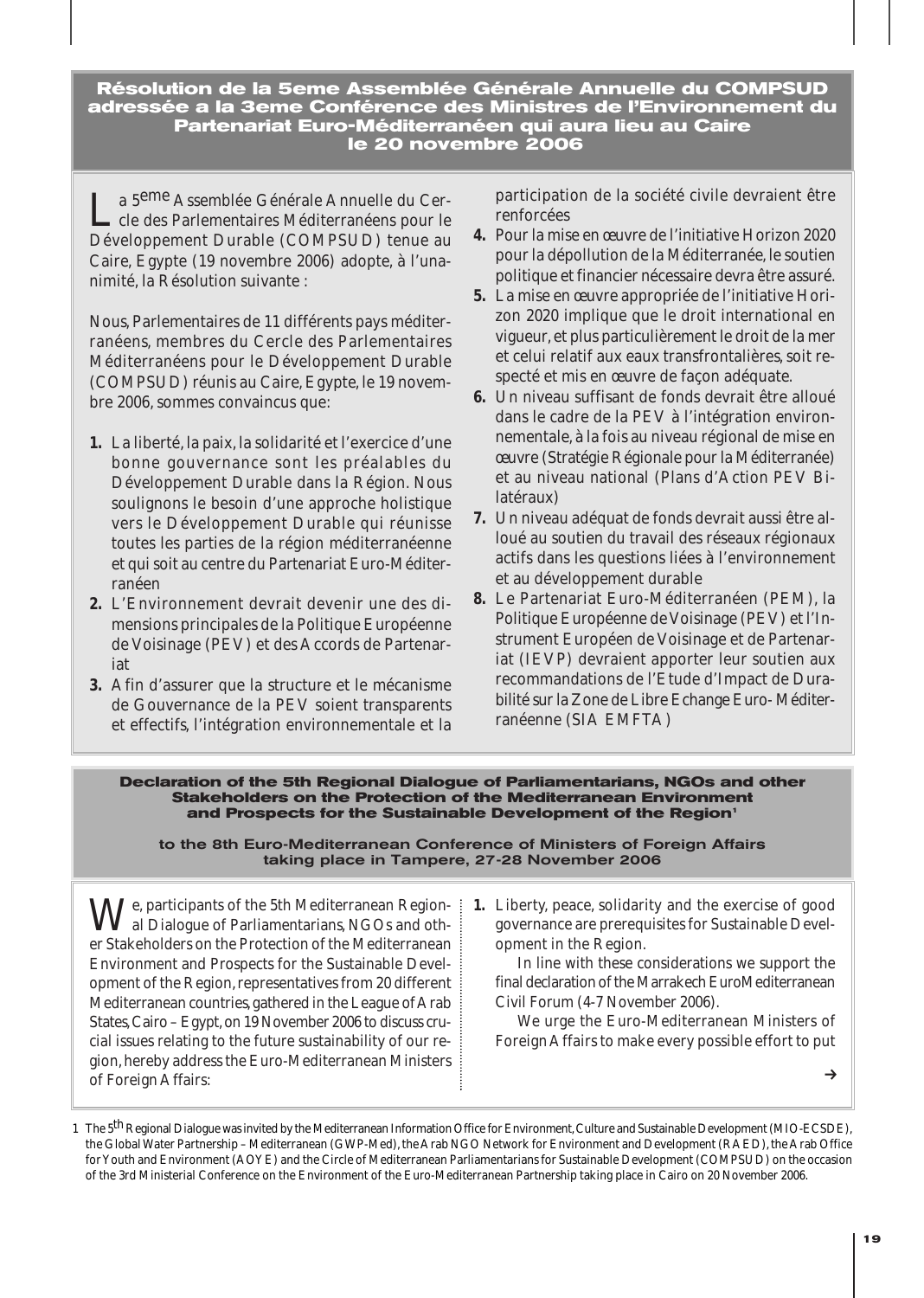**Résolution de la 5eme Assemblée Générale Annuelle du COMPSUD adressée a la 3eme Conférence des Ministres de l'Environnement du Partenariat Euro-Méditerranéen qui aura lieu au Caire le 20 novembre 2006**

a 5<sup>eme</sup> Assemblée Générale Annuelle du Cercle des Parlementaires Méditerranéens pour le Développement Durable (COMPSUD) tenue au Caire, Egypte (19 novembre 2006) adopte, à l'unanimité, la Résolution suivante :

Nous, Parlementaires de 11 différents pays méditerranéens, membres du Cercle des Parlementaires Méditerranéens pour le Développement Durable (COMPSUD) réunis au Caire, Egypte, le 19 novembre 2006, sommes convaincus que:

- **1.** La liberté, la paix, la solidarité et l'exercice d'une bonne gouvernance sont les préalables du Développement Durable dans la Région. Nous soulignons le besoin d'une approche holistique vers le Développement Durable qui réunisse toutes les parties de la région méditerranéenne et qui soit au centre du Partenariat Euro-Méditerranéen
- **2.** L'Environnement devrait devenir une des dimensions principales de la Politique Européenne de Voisinage (PEV) et des Accords de Partenariat
- **3.** Afin d'assurer que la structure et le mécanisme de Gouvernance de la PEV soient transparents et effectifs, l'intégration environnementale et la

participation de la société civile devraient être renforcées

- **4.** Pour la mise en œuvre de l'initiative Horizon 2020 pour la dépollution de la Méditerranée, le soutien politique et financier nécessaire devra être assuré.
- **5.** La mise en œuvre appropriée de l'initiative Horizon 2020 implique que le droit international en vigueur, et plus particulièrement le droit de la mer et celui relatif aux eaux transfrontalières, soit respecté et mis en œuvre de façon adéquate.
- **6.** Un niveau suffisant de fonds devrait être alloué dans le cadre de la PEV à l'intégration environnementale, à la fois au niveau régional de mise en œuvre (Stratégie Régionale pour la Méditerranée) et au niveau national (Plans d'Action PEV Bilatéraux)
- **7.** Un niveau adéquat de fonds devrait aussi être alloué au soutien du travail des réseaux régionaux actifs dans les questions liées à l'environnement et au développement durable
- **8.** Le Partenariat Euro-Méditerranéen (PEM), la Politique Européenne de Voisinage (PEV) et l'Instrument Européen de Voisinage et de Partenariat (IEVP) devraient apporter leur soutien aux recommandations de l'Etude d'Impact de Durabilité sur la Zone de Libre Echange Euro- Méditerranéenne (SIA EMFTA)

#### **Declaration of the 5th Regional Dialogue of Parliamentarians, NGOs and other Stakeholders on the Protection of the Mediterranean Environment**  and Prospects for the Sustainable Development of the Region<sup>1</sup>

to the 8th Euro-Mediterranean Conference of Ministers of Foreign Affairs taking place in Tampere, 27-28 November 2006

 $\bigvee_{\alpha}^{\mathsf{e}}$ , participants of the 5th Mediterranean Regional Dialogue of Parliamentarians, NGOs and other Stakeholders on the Protection of the Mediterranean Environment and Prospects for the Sustainable Development of the Region, representatives from 20 different Mediterranean countries, gathered in the League of Arab States, Cairo – Egypt, on 19 November 2006 to discuss crucial issues relating to the future sustainability of our region, hereby address the Euro-Mediterranean Ministers of Foreign Affairs:

**1.** Liberty, peace, solidarity and the exercise of good governance are prerequisites for Sustainable Development in the Region.

In line with these considerations we support the final declaration of the Marrakech EuroMediterranean Civil Forum (4-7 November 2006).

We urge the Euro-Mediterranean Ministers of Foreign Affairs to make every possible effort to put

 $\rightarrow$ 

<sup>1</sup> The 5<sup>th</sup> Regional Dialogue was invited by the Mediterranean Information Office for Environment, Culture and Sustainable Development (MIO-ECSDE), the Global Water Partnership – Mediterranean (GWP-Med), the Arab NGO Network for Environment and Development (RAED), the Arab Office for Youth and Environment (AOYE) and the Circle of Mediterranean Parliamentarians for Sustainable Development (COMPSUD) on the occasion of the 3rd Ministerial Conference on the Environment of the Euro-Mediterranean Partnership taking place in Cairo on 20 November 2006.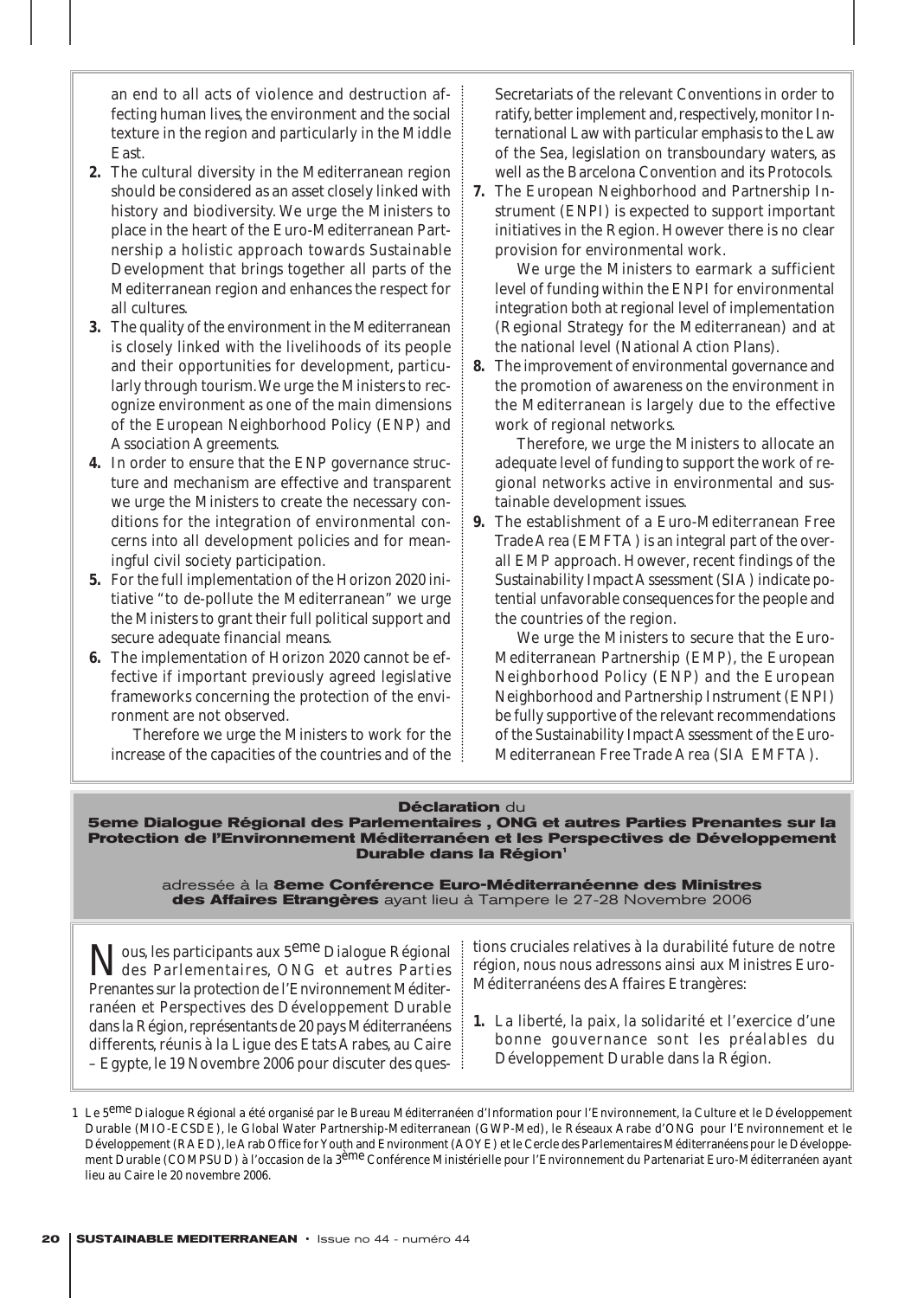an end to all acts of violence and destruction affecting human lives, the environment and the social texture in the region and particularly in the Middle East.

- **2.** The cultural diversity in the Mediterranean region should be considered as an asset closely linked with history and biodiversity. We urge the Ministers to place in the heart of the Euro-Mediterranean Partnership a holistic approach towards Sustainable Development that brings together all parts of the Mediterranean region and enhances the respect for all cultures.
- **3.** The quality of the environment in the Mediterranean is closely linked with the livelihoods of its people and their opportunities for development, particularly through tourism.We urge the Ministers to recognize environment as one of the main dimensions of the European Neighborhood Policy (ENP) and Association Agreements.
- **4.** In order to ensure that the ENP governance structure and mechanism are effective and transparent we urge the Ministers to create the necessary conditions for the integration of environmental concerns into all development policies and for meaningful civil society participation.
- **5.** For the full implementation of the Horizon 2020 initiative "to de-pollute the Mediterranean" we urge the Ministers to grant their full political support and secure adequate financial means.
- **6.** The implementation of Horizon 2020 cannot be effective if important previously agreed legislative frameworks concerning the protection of the environment are not observed.

Therefore we urge the Ministers to work for the increase of the capacities of the countries and of the Secretariats of the relevant Conventions in order to ratify, better implement and, respectively, monitor International Law with particular emphasis to the Law of the Sea, legislation on transboundary waters, as well as the Barcelona Convention and its Protocols.

**7.** The European Neighborhood and Partnership Instrument (ENPI) is expected to support important initiatives in the Region. However there is no clear provision for environmental work.

We urge the Ministers to earmark a sufficient level of funding within the ENPI for environmental integration both at regional level of implementation (Regional Strategy for the Mediterranean) and at the national level (National Action Plans).

**8.** The improvement of environmental governance and the promotion of awareness on the environment in the Mediterranean is largely due to the effective work of regional networks.

Therefore, we urge the Ministers to allocate an adequate level of funding to support the work of regional networks active in environmental and sustainable development issues.

**9.** The establishment of a Euro-Mediterranean Free Trade Area (EMFTA) is an integral part of the overall EMP approach. However, recent findings of the Sustainability Impact Assessment (SIA) indicate potential unfavorable consequences for the people and the countries of the region.

We urge the Ministers to secure that the Euro-Mediterranean Partnership (EMP), the European Neighborhood Policy (ENP) and the European Neighborhood and Partnership Instrument (ENPI) be fully supportive of the relevant recommendations of the Sustainability Impact Assessment of the Euro-Mediterranean Free Trade Area (SIA EMFTA).

#### **Déclaration** du

**5eme Dialogue Régional des Parlementaires , ONG et autres Parties Prenantes sur la Protection de l'Environnement Méditerranéen et les Perspectives de Développement Durable dans la Région'** 

adressée à la **8eme Conférence Euro-Méditerranéenne des Ministres des Affaires Etrangères** ayant lieu à Tampere le 27-28 Novembre 2006

Nous, les participants aux 5<sup>eme</sup> Dialogue Régional des Parlementaires, ONG et autres Parties Prenantes sur la protection de l'Environnement Méditerranéen et Perspectives des Développement Durable dans la Région, représentants de 20 pays Méditerranéens differents, réunis à la Ligue des Etats Arabes, au Caire – Egypte, le 19 Novembre 2006 pour discuter des ques-

tions cruciales relatives à la durabilité future de notre région, nous nous adressons ainsi aux Ministres Euro-Méditerranéens des Affaires Etrangères:

**1.** La liberté, la paix, la solidarité et l'exercice d'une bonne gouvernance sont les préalables du Développement Durable dans la Région.

<sup>1</sup> Le 5<sup>eme</sup> Dialogue Régional a été organisé par le Bureau Méditerranéen d'Information pour l'Environnement, la Culture et le Développement Durable (MIO-ECSDE), le Global Water Partnership-Mediterranean (GWP-Med), le Réseaux Arabe d'ONG pour l'Environnement et le Développement (RAED), le Arab Office for Youth and Environment (AOYE) et le Cercle des Parlementaires Méditerranéens pour le Développement Durable (COMPSUD) à l'occasion de la 3<sup>ème</sup> Conférence Ministérielle pour l'Environnement du Partenariat Euro-Méditerranéen ayant lieu au Caire le 20 novembre 2006.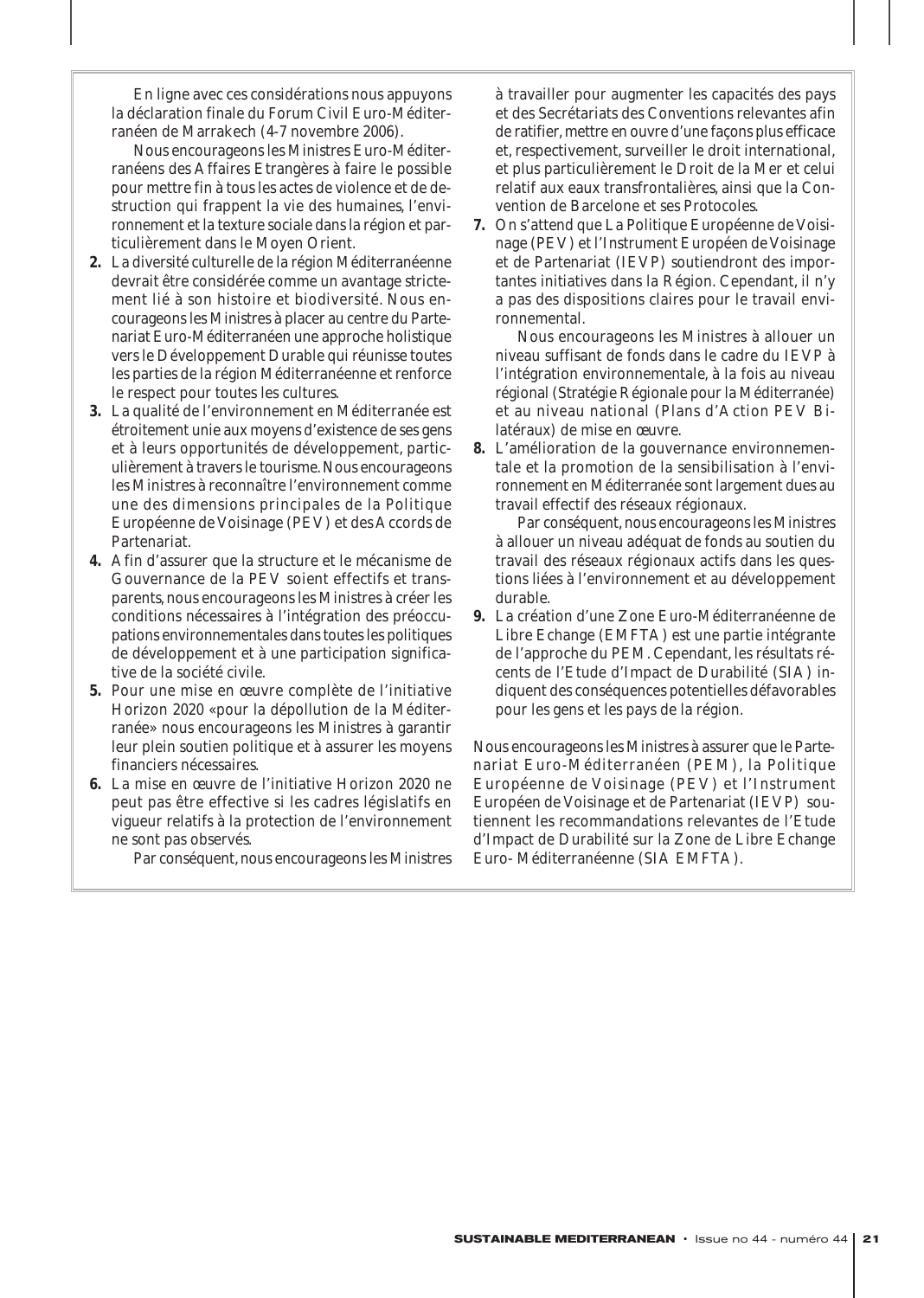En ligne avec ces considérations nous appuyons la déclaration finale du Forum Civil Euro-Méditerranéen de Marrakech (4-7 novembre 2006).

Nous encourageons les Ministres Euro-Méditerranéens des Affaires Etrangères à faire le possible pour mettre fin à tous les actes de violence et de destruction qui frappent la vie des humaines, l'environnement et la texture sociale dans la région et particulièrement dans le Moyen Orient.

- **2.** La diversité culturelle de la région Méditerranéenne devrait être considérée comme un avantage strictement lié à son histoire et biodiversité. Nous encourageons les Ministres à placer au centre du Partenariat Euro-Méditerranéen une approche holistique vers le Développement Durable qui réunisse toutes les parties de la région Méditerranéenne et renforce le respect pour toutes les cultures.
- **3.** La qualité de l'environnement en Méditerranée est étroitement unie aux moyens d'existence de ses gens et à leurs opportunités de développement, particulièrement à travers le tourisme. Nous encourageons les Ministres à reconnaître l'environnement comme une des dimensions principales de la Politique Européenne de Voisinage (PEV) et des Accords de Partenariat.
- **4.** Afin d'assurer que la structure et le mécanisme de Gouvernance de la PEV soient effectifs et transparents, nous encourageons les Ministres à créer les conditions nécessaires à l'intégration des préoccupations environnementales dans toutes les politiques de développement et à une participation significative de la société civile.
- **5.** Pour une mise en œuvre complète de l'initiative Horizon 2020 «pour la dépollution de la Méditerranée» nous encourageons les Ministres à garantir leur plein soutien politique et à assurer les moyens financiers nécessaires.
- **6.** La mise en œuvre de l'initiative Horizon 2020 ne peut pas être effective si les cadres législatifs en vigueur relatifs à la protection de l'environnement ne sont pas observés.

Par conséquent, nous encourageons les Ministres

à travailler pour augmenter les capacités des pays et des Secrétariats des Conventions relevantes afin de ratifier, mettre en ouvre d'une façons plus efficace et, respectivement, surveiller le droit international, et plus particulièrement le Droit de la Mer et celui relatif aux eaux transfrontalières, ainsi que la Convention de Barcelone et ses Protocoles.

**7.** On s'attend que La Politique Européenne de Voisinage (PEV) et l'Instrument Européen de Voisinage et de Partenariat (IEVP) soutiendront des importantes initiatives dans la Région. Cependant, il n'y a pas des dispositions claires pour le travail environnemental.

Nous encourageons les Ministres à allouer un niveau suffisant de fonds dans le cadre du IEVP à l'intégration environnementale, à la fois au niveau régional (Stratégie Régionale pour la Méditerranée) et au niveau national (Plans d'Action PEV Bilatéraux) de mise en œuvre.

**8.** L'amélioration de la gouvernance environnementale et la promotion de la sensibilisation à l'environnement en Méditerranée sont largement dues au travail effectif des réseaux régionaux.

Par conséquent, nous encourageons les Ministres à allouer un niveau adéquat de fonds au soutien du travail des réseaux régionaux actifs dans les questions liées à l'environnement et au développement durable.

**9.** La création d'une Zone Euro-Méditerranéenne de Libre Echange (EMFTA) est une partie intégrante de l'approche du PEM. Cependant, les résultats récents de l'Etude d'Impact de Durabilité (SIA) indiquent des conséquences potentielles défavorables pour les gens et les pays de la région.

Nous encourageons les Ministres à assurer que le Partenariat Euro-Méditerranéen (PEM), la Politique Européenne de Voisinage (PEV) et l'Instrument Européen de Voisinage et de Partenariat (IEVP) soutiennent les recommandations relevantes de l'Etude d'Impact de Durabilité sur la Zone de Libre Echange Euro- Méditerranéenne (SIA EMFTA).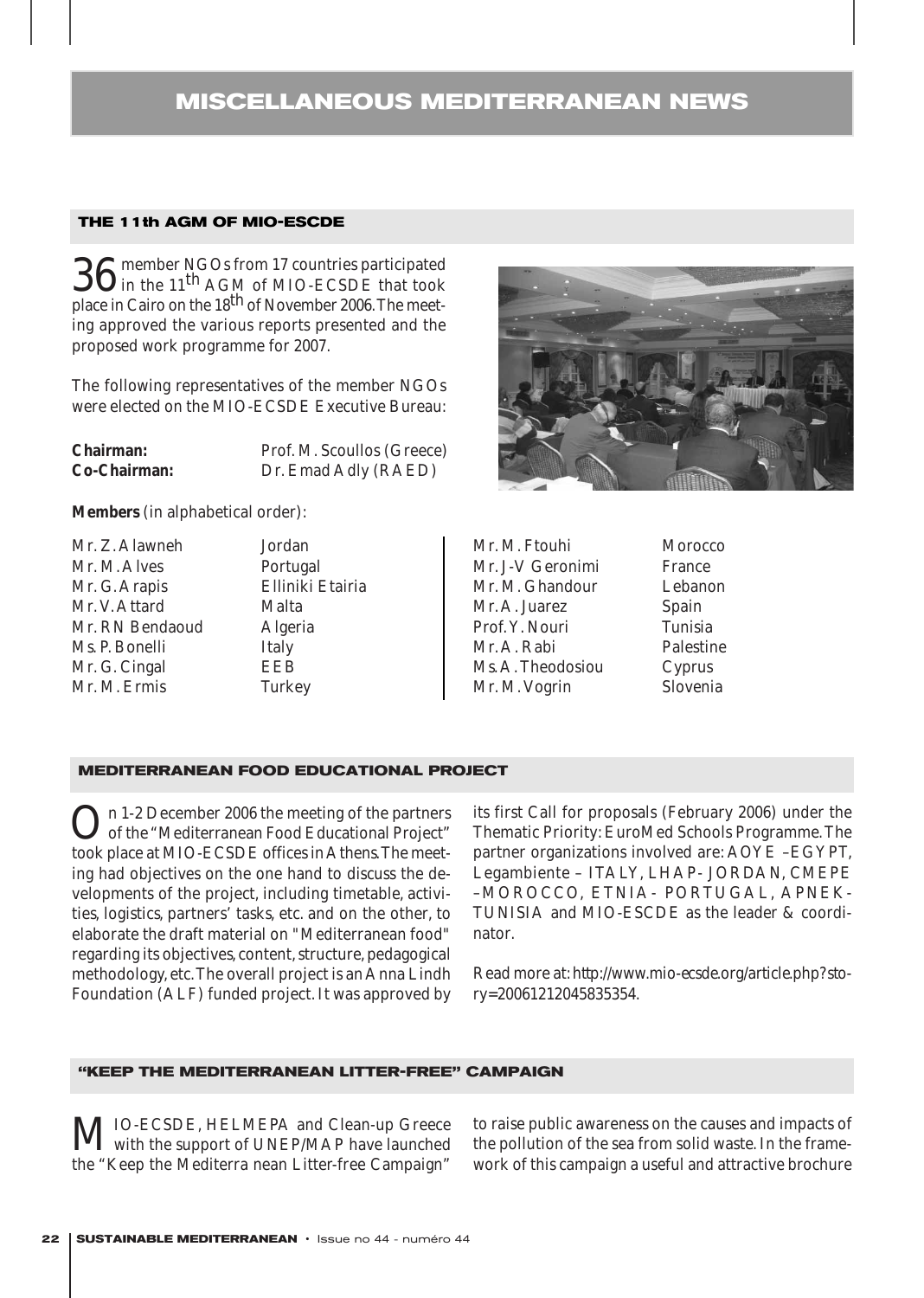# **MISCELLANEOUS MEDITERRANEAN NEWS**

## **THE 11th AGM OF MIO-ESCDE**

36 member NGOs from 17 countries participated<br>in the 11<sup>th</sup> AGM of MIO-ECSDE that took place in Cairo on the 18<sup>th</sup> of November 2006. The meeting approved the various reports presented and the proposed work programme for 2007.

The following representatives of the member NGOs were elected on the MIO-ECSDE Executive Bureau:

| <b>Chairman:</b>    | Prof. M. Scoullos (Greece) |
|---------------------|----------------------------|
| <b>Co-Chairman:</b> | Dr. Emad Adly (RAED)       |

**Members** (in alphabetical order):

Mr. Z. Alawneh Jordan Mr. M. Alves Portugal Mr. G. Arapis Elliniki Etairia Mr. V. Attard Malta Mr. RN Bendaoud Algeria Ms. P. Bonelli Italy Mr. G. Cingal EEB Mr. M. Ermis Turkey



| Mr. M. Ftouhi     | N            |
|-------------------|--------------|
| Mr. J-V Geronimi  | F            |
| Mr. M. Ghandour   | L            |
| Mr. A. Juarez     | $\mathbf{S}$ |
| Prof. Y. Nouri    | Tì           |
| Mr. A. Rabi       | P            |
| Ms. A. Theodosiou | C            |
| Mr. M. Vogrin     | S            |

# Morocco 'rance ebanon. nain. **dere**<br>Tunisia 'alestine *v*prus lovenia

#### **MEDITERRANEAN FOOD EDUCATIONAL PROJECT**

On 1-2 December 2006 the meeting of the partners<br>of the "Mediterranean Food Educational Project" took place at MIO-ECSDE offices in Athens.The meeting had objectives on the one hand to discuss the developments of the project, including timetable, activities, logistics, partners' tasks, etc. and on the other, to elaborate the draft material on "Mediterranean food" regarding its objectives, content, structure, pedagogical methodology, etc.The overall project is an Anna Lindh Foundation (ALF) funded project. It was approved by

its first Call for proposals (February 2006) under the Thematic Priority: EuroMed Schools Programme. The partner organizations involved are: AOYE –EGYPT, Legambiente – ITALY, LHAP- JORDAN, CMEPE –MOROCCO, ETNIA- PORTUGAL, APNEK-TUNISIA and MIO-ESCDE as the leader & coordinator.

Read more at:*http://www.mio-ecsde.org/article.php?story=20061212045835354*.

#### **"KEEP THE MEDITERRANEAN LITTER-FREE" CAMPAIGN**

MIO-ECSDE, HELMEPA and Clean-up Greece<br>with the support of UNEP/MAP have launched the "Keep the Mediterra nean Litter-free Campaign" to raise public awareness on the causes and impacts of the pollution of the sea from solid waste. In the framework of this campaign a useful and attractive brochure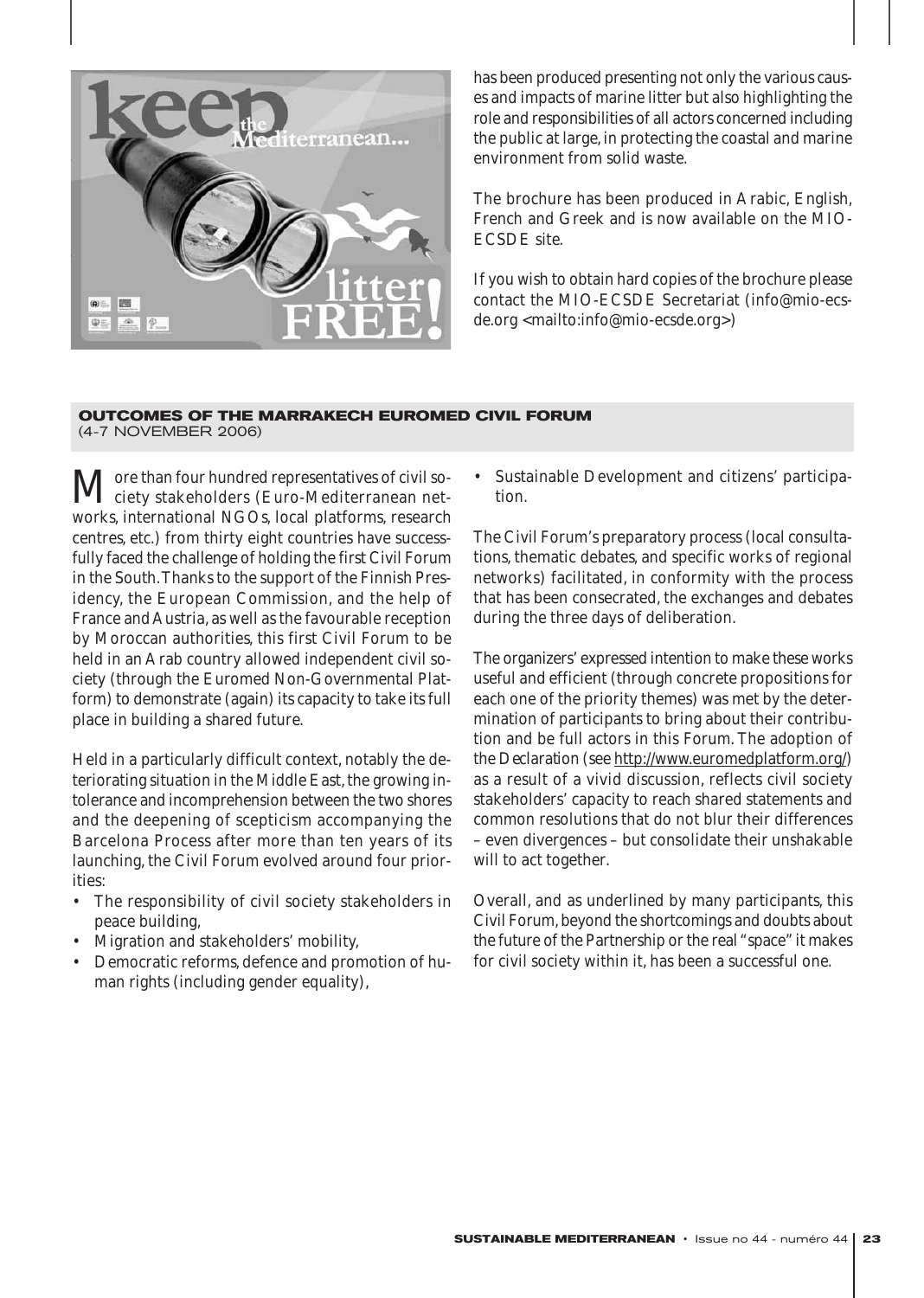

has been produced presenting not only the various causes and impacts of marine litter but also highlighting the role and responsibilities of all actors concerned including the public at large, in protecting the coastal and marine environment from solid waste.

The brochure has been produced in Arabic, English, French and Greek and is now available on the MIO-ECSDE site.

If you wish to obtain hard copies of the brochure please contact the MIO-ECSDE Secretariat (info@mio-ecsde.org <mailto:info@mio-ecsde.org>)

# **OUTCOMES OF THE MARRAKECH EUROMED CIVIL FORUM**

(4-7 NOVEMBER 2006)

 $\mathbf M$ ore than four hundred representatives of civil so-<br>ciety stakeholders (Euro-Mediterranean networks, international NGOs, local platforms, research centres, etc.) from thirty eight countries have successfully faced the challenge of holding the first Civil Forum in the South.Thanks to the support of the Finnish Presidency, the European Commission, and the help of France and Austria, as well as the favourable reception by Moroccan authorities, this first Civil Forum to be held in an Arab country allowed independent civil society (through the Euromed Non-Governmental Platform) to demonstrate (again) its capacity to take its full place in building a shared future.

Held in a particularly difficult context, notably the deteriorating situation in the Middle East, the growing intolerance and incomprehension between the two shores and the deepening of scepticism accompanying the Barcelona Process after more than ten years of its launching, the Civil Forum evolved around four priorities:

- The responsibility of civil society stakeholders in peace building,
- Migration and stakeholders' mobility,
- Democratic reforms, defence and promotion of human rights (including gender equality),

• Sustainable Development and citizens' participation.

The Civil Forum's preparatory process (local consultations, thematic debates, and specific works of regional networks) facilitated, in conformity with the process that has been consecrated, the exchanges and debates during the three days of deliberation.

The organizers' expressed intention to make these works useful and efficient (through concrete propositions for each one of the priority themes) was met by the determination of participants to bring about their contribution and be full actors in this Forum. The adoption of the *Declaration* (see http://www.euromedplatform.org/) as a result of a vivid discussion, reflects civil society stakeholders' capacity to reach shared statements and common resolutions that do not blur their differences – even divergences – but consolidate their unshakable will to act together.

Overall, and as underlined by many participants, this Civil Forum, beyond the shortcomings and doubts about the future of the Partnership or the real "space" it makes for civil society within it, has been a successful one.